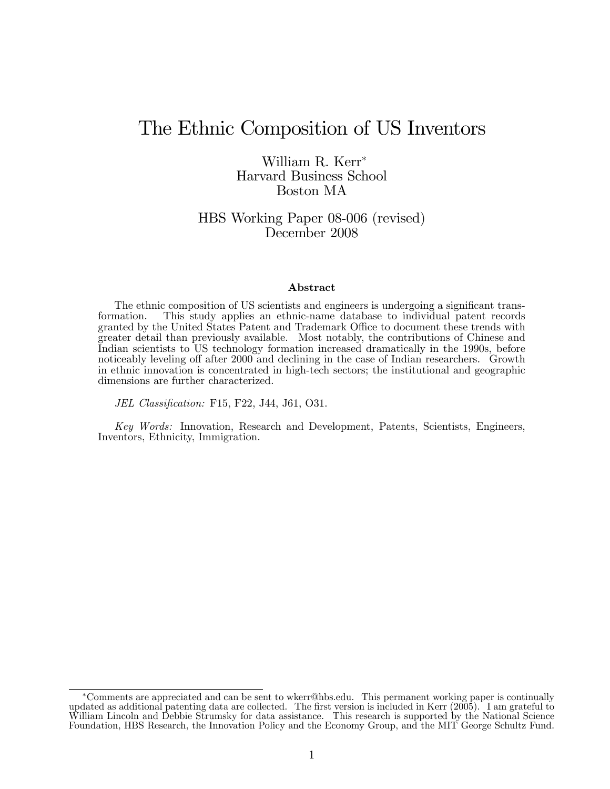## The Ethnic Composition of US Inventors

William R. Kerr Harvard Business School Boston MA

HBS Working Paper 08-006 (revised) December 2008

#### Abstract

The ethnic composition of US scientists and engineers is undergoing a significant transformation. This study applies an ethnic-name database to individual patent records granted by the United States Patent and Trademark Office to document these trends with greater detail than previously available. Most notably, the contributions of Chinese and Indian scientists to US technology formation increased dramatically in the 1990s, before noticeably leveling off after 2000 and declining in the case of Indian researchers. Growth in ethnic innovation is concentrated in high-tech sectors; the institutional and geographic dimensions are further characterized.

JEL Classification: F15, F22, J44, J61, O31.

Key Words: Innovation, Research and Development, Patents, Scientists, Engineers, Inventors, Ethnicity, Immigration.

Comments are appreciated and can be sent to wkerr@hbs.edu. This permanent working paper is continually updated as additional patenting data are collected. The first version is included in Kerr (2005). I am grateful to William Lincoln and Debbie Strumsky for data assistance. This research is supported by the National Science Foundation, HBS Research, the Innovation Policy and the Economy Group, and the MIT George Schultz Fund.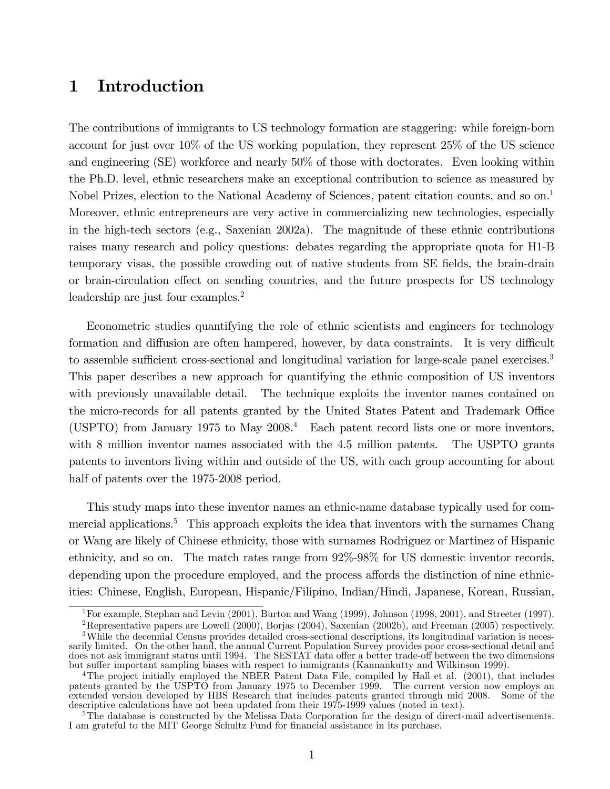## 1 Introduction

The contributions of immigrants to US technology formation are staggering: while foreign-born account for just over 10% of the US working population, they represent 25% of the US science and engineering (SE) workforce and nearly 50% of those with doctorates. Even looking within the Ph.D. level, ethnic researchers make an exceptional contribution to science as measured by Nobel Prizes, election to the National Academy of Sciences, patent citation counts, and so on.<sup>1</sup> Moreover, ethnic entrepreneurs are very active in commercializing new technologies, especially in the high-tech sectors (e.g., Saxenian 2002a). The magnitude of these ethnic contributions raises many research and policy questions: debates regarding the appropriate quota for H1-B temporary visas, the possible crowding out of native students from SE fields, the brain-drain or brain-circulation effect on sending countries, and the future prospects for US technology leadership are just four examples.<sup>2</sup>

Econometric studies quantifying the role of ethnic scientists and engineers for technology formation and diffusion are often hampered, however, by data constraints. It is very difficult to assemble sufficient cross-sectional and longitudinal variation for large-scale panel exercises.<sup>3</sup> This paper describes a new approach for quantifying the ethnic composition of US inventors with previously unavailable detail. The technique exploits the inventor names contained on the micro-records for all patents granted by the United States Patent and Trademark Office (USPTO) from January 1975 to May 2008.<sup>4</sup> Each patent record lists one or more inventors, with 8 million inventor names associated with the 4.5 million patents. The USPTO grants patents to inventors living within and outside of the US, with each group accounting for about half of patents over the 1975-2008 period.

This study maps into these inventor names an ethnic-name database typically used for commercial applications.<sup>5</sup> This approach exploits the idea that inventors with the surnames Chang or Wang are likely of Chinese ethnicity, those with surnames Rodriguez or Martinez of Hispanic ethnicity, and so on. The match rates range from 92%-98% for US domestic inventor records, depending upon the procedure employed, and the process affords the distinction of nine ethnicities: Chinese, English, European, Hispanic/Filipino, Indian/Hindi, Japanese, Korean, Russian,

<sup>1</sup>For example, Stephan and Levin (2001), Burton and Wang (1999), Johnson (1998, 2001), and Streeter (1997).

<sup>2</sup>Representative papers are Lowell (2000), Borjas (2004), Saxenian (2002b), and Freeman (2005) respectively.

<sup>&</sup>lt;sup>3</sup>While the decennial Census provides detailed cross-sectional descriptions, its longitudinal variation is necessarily limited. On the other hand, the annual Current Population Survey provides poor cross-sectional detail and does not ask immigrant status until 1994. The SESTAT data offer a better trade-off between the two dimensions but suffer important sampling biases with respect to immigrants (Kannankutty and Wilkinson 1999).

<sup>&</sup>lt;sup>4</sup>The project initially employed the NBER Patent Data File, compiled by Hall et al. (2001), that includes patents granted by the USPTO from January 1975 to December 1999. The current version now employs an extended version developed by HBS Research that includes patents granted through mid 2008. Some of the descriptive calculations have not been updated from their 1975-1999 values (noted in text).

<sup>&</sup>lt;sup>5</sup>The database is constructed by the Melissa Data Corporation for the design of direct-mail advertisements. I am grateful to the MIT George Schultz Fund for Önancial assistance in its purchase.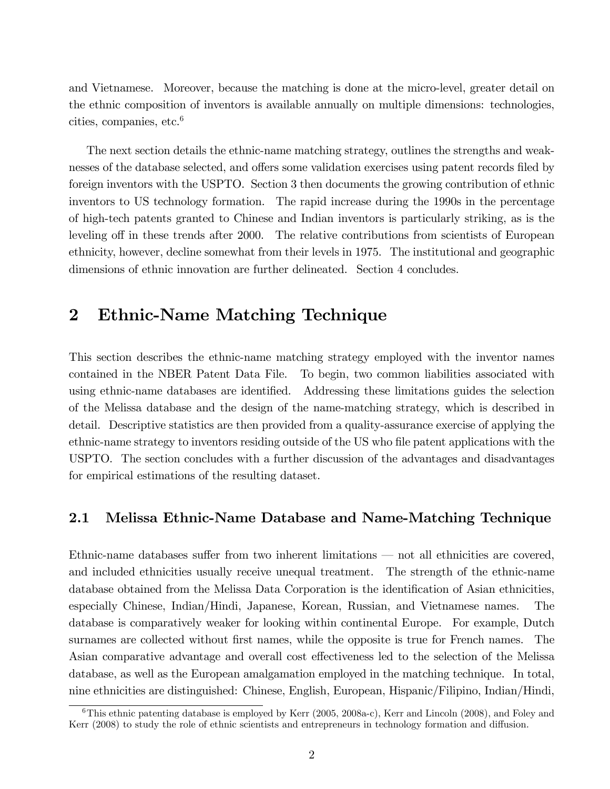and Vietnamese. Moreover, because the matching is done at the micro-level, greater detail on the ethnic composition of inventors is available annually on multiple dimensions: technologies, cities, companies, etc.<sup>6</sup>

The next section details the ethnic-name matching strategy, outlines the strengths and weaknesses of the database selected, and offers some validation exercises using patent records filed by foreign inventors with the USPTO. Section 3 then documents the growing contribution of ethnic inventors to US technology formation. The rapid increase during the 1990s in the percentage of high-tech patents granted to Chinese and Indian inventors is particularly striking, as is the leveling off in these trends after 2000. The relative contributions from scientists of European ethnicity, however, decline somewhat from their levels in 1975. The institutional and geographic dimensions of ethnic innovation are further delineated. Section 4 concludes.

## 2 Ethnic-Name Matching Technique

This section describes the ethnic-name matching strategy employed with the inventor names contained in the NBER Patent Data File. To begin, two common liabilities associated with using ethnic-name databases are identified. Addressing these limitations guides the selection of the Melissa database and the design of the name-matching strategy, which is described in detail. Descriptive statistics are then provided from a quality-assurance exercise of applying the ethnic-name strategy to inventors residing outside of the US who file patent applications with the USPTO. The section concludes with a further discussion of the advantages and disadvantages for empirical estimations of the resulting dataset.

#### 2.1 Melissa Ethnic-Name Database and Name-Matching Technique

Ethnic-name databases suffer from two inherent limitations  $\sim$  not all ethnicities are covered, and included ethnicities usually receive unequal treatment. The strength of the ethnic-name database obtained from the Melissa Data Corporation is the identification of Asian ethnicities, especially Chinese, Indian/Hindi, Japanese, Korean, Russian, and Vietnamese names. The database is comparatively weaker for looking within continental Europe. For example, Dutch surnames are collected without first names, while the opposite is true for French names. The Asian comparative advantage and overall cost effectiveness led to the selection of the Melissa database, as well as the European amalgamation employed in the matching technique. In total, nine ethnicities are distinguished: Chinese, English, European, Hispanic/Filipino, Indian/Hindi,

<sup>&</sup>lt;sup>6</sup>This ethnic patenting database is employed by Kerr (2005, 2008a-c), Kerr and Lincoln (2008), and Foley and Kerr (2008) to study the role of ethnic scientists and entrepreneurs in technology formation and diffusion.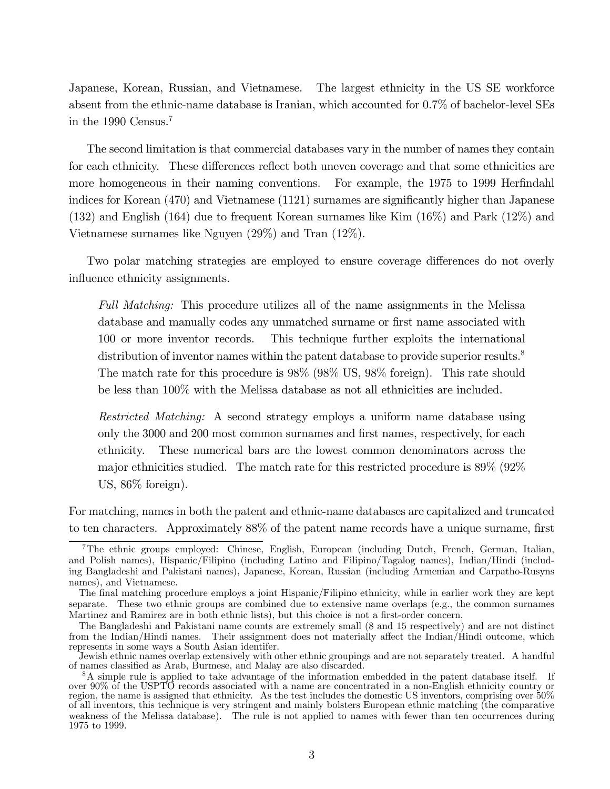Japanese, Korean, Russian, and Vietnamese. The largest ethnicity in the US SE workforce absent from the ethnic-name database is Iranian, which accounted for 0.7% of bachelor-level SEs in the 1990 Census.<sup>7</sup>

The second limitation is that commercial databases vary in the number of names they contain for each ethnicity. These differences reflect both uneven coverage and that some ethnicities are more homogeneous in their naming conventions. For example, the 1975 to 1999 Herfindahl indices for Korean (470) and Vietnamese (1121) surnames are significantly higher than Japanese (132) and English (164) due to frequent Korean surnames like Kim (16%) and Park (12%) and Vietnamese surnames like Nguyen  $(29\%)$  and Tran  $(12\%)$ .

Two polar matching strategies are employed to ensure coverage differences do not overly influence ethnicity assignments.

Full Matching: This procedure utilizes all of the name assignments in the Melissa database and manually codes any unmatched surname or first name associated with 100 or more inventor records. This technique further exploits the international distribution of inventor names within the patent database to provide superior results.<sup>8</sup> The match rate for this procedure is 98% (98% US, 98% foreign). This rate should be less than 100% with the Melissa database as not all ethnicities are included.

Restricted Matching: A second strategy employs a uniform name database using only the 3000 and 200 most common surnames and Örst names, respectively, for each ethnicity. These numerical bars are the lowest common denominators across the major ethnicities studied. The match rate for this restricted procedure is 89% (92% US, 86% foreign).

For matching, names in both the patent and ethnic-name databases are capitalized and truncated to ten characters. Approximately 88% of the patent name records have a unique surname, first

<sup>7</sup>The ethnic groups employed: Chinese, English, European (including Dutch, French, German, Italian, and Polish names), Hispanic/Filipino (including Latino and Filipino/Tagalog names), Indian/Hindi (including Bangladeshi and Pakistani names), Japanese, Korean, Russian (including Armenian and Carpatho-Rusyns names), and Vietnamese.

The final matching procedure employs a joint Hispanic/Filipino ethnicity, while in earlier work they are kept separate. These two ethnic groups are combined due to extensive name overlaps (e.g., the common surnames Martinez and Ramirez are in both ethnic lists), but this choice is not a first-order concern.

The Bangladeshi and Pakistani name counts are extremely small (8 and 15 respectively) and are not distinct from the Indian/Hindi names. Their assignment does not materially affect the Indian/Hindi outcome, which represents in some ways a South Asian identifer.

Jewish ethnic names overlap extensively with other ethnic groupings and are not separately treated. A handful of names classified as Arab, Burmese, and Malay are also discarded.

<sup>&</sup>lt;sup>8</sup>A simple rule is applied to take advantage of the information embedded in the patent database itself. If over 90% of the USPTO records associated with a name are concentrated in a non-English ethnicity country or region, the name is assigned that ethnicity. As the test includes the domestic US inventors, comprising over 50% of all inventors, this technique is very stringent and mainly bolsters European ethnic matching (the comparative weakness of the Melissa database). The rule is not applied to names with fewer than ten occurrences during 1975 to 1999.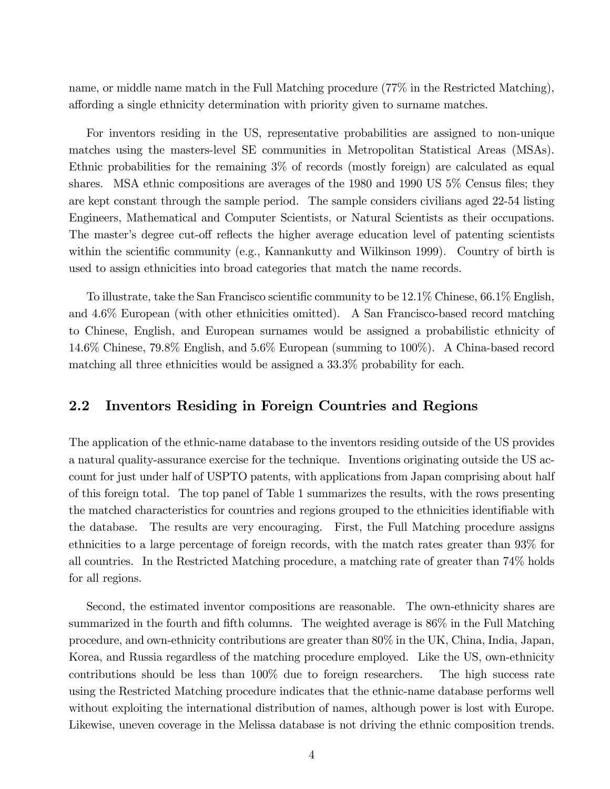name, or middle name match in the Full Matching procedure (77% in the Restricted Matching), affording a single ethnicity determination with priority given to surname matches.

For inventors residing in the US, representative probabilities are assigned to non-unique matches using the masters-level SE communities in Metropolitan Statistical Areas (MSAs). Ethnic probabilities for the remaining 3% of records (mostly foreign) are calculated as equal shares. MSA ethnic compositions are averages of the 1980 and 1990 US 5% Census files; they are kept constant through the sample period. The sample considers civilians aged 22-54 listing Engineers, Mathematical and Computer Scientists, or Natural Scientists as their occupations. The master's degree cut-off reflects the higher average education level of patenting scientists within the scientific community (e.g., Kannankutty and Wilkinson 1999). Country of birth is used to assign ethnicities into broad categories that match the name records.

To illustrate, take the San Francisco scientific community to be  $12.1\%$  Chinese, 66.1% English, and 4.6% European (with other ethnicities omitted). A San Francisco-based record matching to Chinese, English, and European surnames would be assigned a probabilistic ethnicity of 14.6% Chinese, 79.8% English, and 5.6% European (summing to 100%). A China-based record matching all three ethnicities would be assigned a 33.3% probability for each.

#### 2.2 Inventors Residing in Foreign Countries and Regions

The application of the ethnic-name database to the inventors residing outside of the US provides a natural quality-assurance exercise for the technique. Inventions originating outside the US account for just under half of USPTO patents, with applications from Japan comprising about half of this foreign total. The top panel of Table 1 summarizes the results, with the rows presenting the matched characteristics for countries and regions grouped to the ethnicities identifiable with the database. The results are very encouraging. First, the Full Matching procedure assigns ethnicities to a large percentage of foreign records, with the match rates greater than 93% for all countries. In the Restricted Matching procedure, a matching rate of greater than 74% holds for all regions.

Second, the estimated inventor compositions are reasonable. The own-ethnicity shares are summarized in the fourth and fifth columns. The weighted average is  $86\%$  in the Full Matching procedure, and own-ethnicity contributions are greater than 80% in the UK, China, India, Japan, Korea, and Russia regardless of the matching procedure employed. Like the US, own-ethnicity contributions should be less than 100% due to foreign researchers. The high success rate using the Restricted Matching procedure indicates that the ethnic-name database performs well without exploiting the international distribution of names, although power is lost with Europe. Likewise, uneven coverage in the Melissa database is not driving the ethnic composition trends.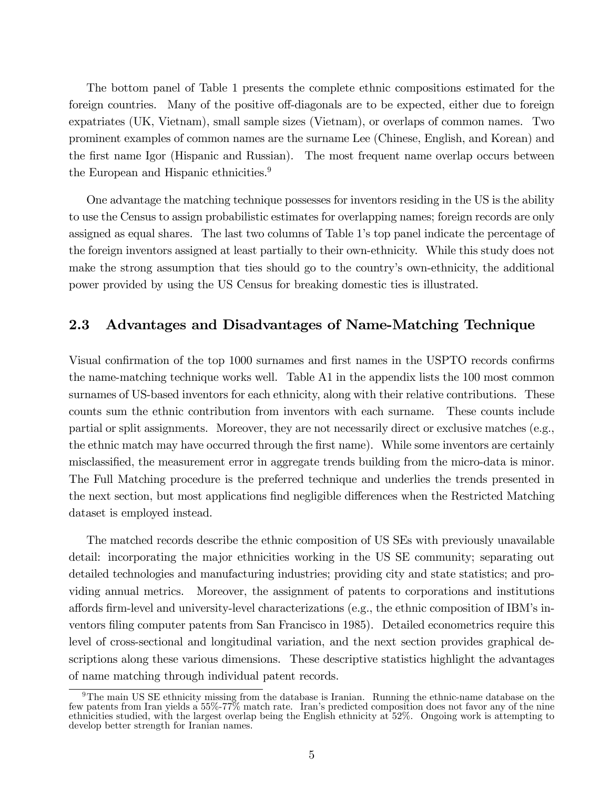The bottom panel of Table 1 presents the complete ethnic compositions estimated for the foreign countries. Many of the positive off-diagonals are to be expected, either due to foreign expatriates (UK, Vietnam), small sample sizes (Vietnam), or overlaps of common names. Two prominent examples of common names are the surname Lee (Chinese, English, and Korean) and the first name Igor (Hispanic and Russian). The most frequent name overlap occurs between the European and Hispanic ethnicities.<sup>9</sup>

One advantage the matching technique possesses for inventors residing in the US is the ability to use the Census to assign probabilistic estimates for overlapping names; foreign records are only assigned as equal shares. The last two columns of Table 1's top panel indicate the percentage of the foreign inventors assigned at least partially to their own-ethnicity. While this study does not make the strong assumption that ties should go to the country's own-ethnicity, the additional power provided by using the US Census for breaking domestic ties is illustrated.

### 2.3 Advantages and Disadvantages of Name-Matching Technique

Visual confirmation of the top 1000 surnames and first names in the USPTO records confirms the name-matching technique works well. Table A1 in the appendix lists the 100 most common surnames of US-based inventors for each ethnicity, along with their relative contributions. These counts sum the ethnic contribution from inventors with each surname. These counts include partial or split assignments. Moreover, they are not necessarily direct or exclusive matches (e.g., the ethnic match may have occurred through the first name). While some inventors are certainly misclassified, the measurement error in aggregate trends building from the micro-data is minor. The Full Matching procedure is the preferred technique and underlies the trends presented in the next section, but most applications find negligible differences when the Restricted Matching dataset is employed instead.

The matched records describe the ethnic composition of US SEs with previously unavailable detail: incorporating the major ethnicities working in the US SE community; separating out detailed technologies and manufacturing industries; providing city and state statistics; and providing annual metrics. Moreover, the assignment of patents to corporations and institutions affords firm-level and university-level characterizations (e.g., the ethnic composition of IBM's inventors filing computer patents from San Francisco in 1985). Detailed econometrics require this level of cross-sectional and longitudinal variation, and the next section provides graphical descriptions along these various dimensions. These descriptive statistics highlight the advantages of name matching through individual patent records.

<sup>9</sup>The main US SE ethnicity missing from the database is Iranian. Running the ethnic-name database on the few patents from Iran yields a 55%-77% match rate. Iranís predicted composition does not favor any of the nine ethnicities studied, with the largest overlap being the English ethnicity at 52%. Ongoing work is attempting to develop better strength for Iranian names.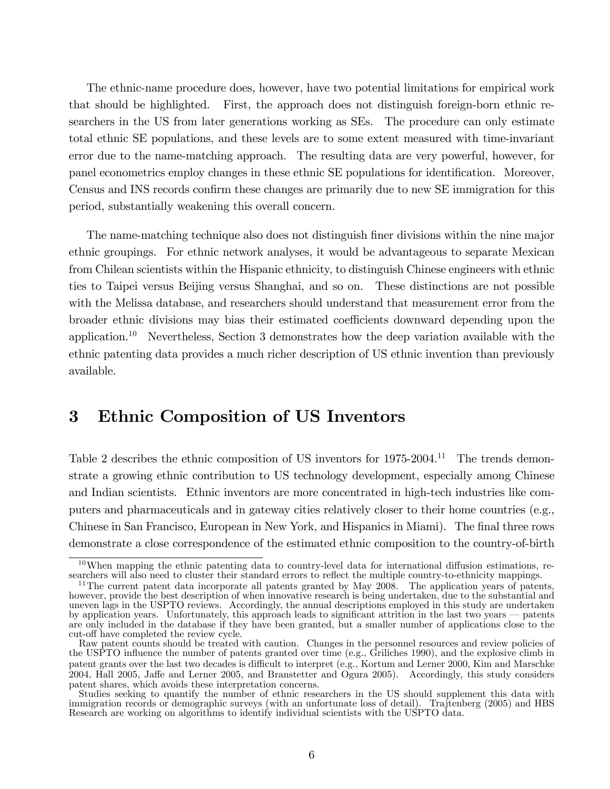The ethnic-name procedure does, however, have two potential limitations for empirical work that should be highlighted. First, the approach does not distinguish foreign-born ethnic researchers in the US from later generations working as SEs. The procedure can only estimate total ethnic SE populations, and these levels are to some extent measured with time-invariant error due to the name-matching approach. The resulting data are very powerful, however, for panel econometrics employ changes in these ethnic SE populations for identification. Moreover, Census and INS records confirm these changes are primarily due to new SE immigration for this period, substantially weakening this overall concern.

The name-matching technique also does not distinguish finer divisions within the nine major ethnic groupings. For ethnic network analyses, it would be advantageous to separate Mexican from Chilean scientists within the Hispanic ethnicity, to distinguish Chinese engineers with ethnic ties to Taipei versus Beijing versus Shanghai, and so on. These distinctions are not possible with the Melissa database, and researchers should understand that measurement error from the broader ethnic divisions may bias their estimated coefficients downward depending upon the application.<sup>10</sup> Nevertheless, Section 3 demonstrates how the deep variation available with the ethnic patenting data provides a much richer description of US ethnic invention than previously available.

## 3 Ethnic Composition of US Inventors

Table 2 describes the ethnic composition of US inventors for 1975-2004.<sup>11</sup> The trends demonstrate a growing ethnic contribution to US technology development, especially among Chinese and Indian scientists. Ethnic inventors are more concentrated in high-tech industries like computers and pharmaceuticals and in gateway cities relatively closer to their home countries (e.g., Chinese in San Francisco, European in New York, and Hispanics in Miami). The final three rows demonstrate a close correspondence of the estimated ethnic composition to the country-of-birth

 $10$ When mapping the ethnic patenting data to country-level data for international diffusion estimations, researchers will also need to cluster their standard errors to reflect the multiple country-to-ethnicity mappings.

 $11$ The current patent data incorporate all patents granted by May 2008. The application years of patents, however, provide the best description of when innovative research is being undertaken, due to the substantial and uneven lags in the USPTO reviews. Accordingly, the annual descriptions employed in this study are undertaken by application years. Unfortunately, this approach leads to significant attrition in the last two years – patents are only included in the database if they have been granted, but a smaller number of applications close to the cut-off have completed the review cycle.

Raw patent counts should be treated with caution. Changes in the personnel resources and review policies of the USPTO influence the number of patents granted over time (e.g., Griliches 1990), and the explosive climb in patent grants over the last two decades is difficult to interpret (e.g., Kortum and Lerner 2000, Kim and Marschke 2004, Hall 2005, Jaffe and Lerner 2005, and Branstetter and Ogura 2005). Accordingly, this study considers patent shares, which avoids these interpretation concerns.

Studies seeking to quantify the number of ethnic researchers in the US should supplement this data with immigration records or demographic surveys (with an unfortunate loss of detail). Trajtenberg (2005) and HBS Research are working on algorithms to identify individual scientists with the USPTO data.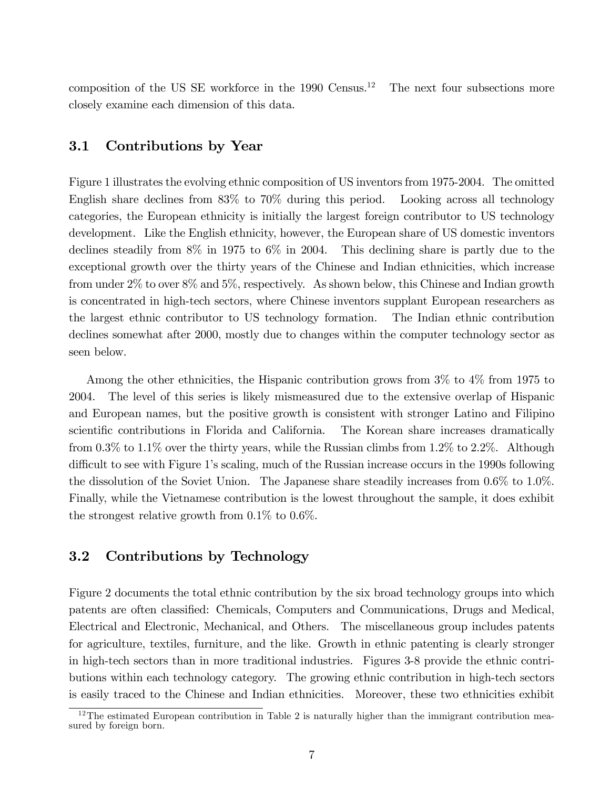composition of the US SE workforce in the  $1990$  Census.<sup>12</sup> The next four subsections more closely examine each dimension of this data.

#### 3.1 Contributions by Year

Figure 1 illustrates the evolving ethnic composition of US inventors from 1975-2004. The omitted English share declines from 83% to 70% during this period. Looking across all technology categories, the European ethnicity is initially the largest foreign contributor to US technology development. Like the English ethnicity, however, the European share of US domestic inventors declines steadily from 8% in 1975 to 6% in 2004. This declining share is partly due to the exceptional growth over the thirty years of the Chinese and Indian ethnicities, which increase from under 2% to over 8% and 5%, respectively. As shown below, this Chinese and Indian growth is concentrated in high-tech sectors, where Chinese inventors supplant European researchers as the largest ethnic contributor to US technology formation. The Indian ethnic contribution declines somewhat after 2000, mostly due to changes within the computer technology sector as seen below.

Among the other ethnicities, the Hispanic contribution grows from 3% to 4% from 1975 to 2004. The level of this series is likely mismeasured due to the extensive overlap of Hispanic and European names, but the positive growth is consistent with stronger Latino and Filipino scientific contributions in Florida and California. The Korean share increases dramatically from  $0.3\%$  to  $1.1\%$  over the thirty years, while the Russian climbs from  $1.2\%$  to  $2.2\%$ . Although difficult to see with Figure 1's scaling, much of the Russian increase occurs in the 1990s following the dissolution of the Soviet Union. The Japanese share steadily increases from 0.6% to 1.0%. Finally, while the Vietnamese contribution is the lowest throughout the sample, it does exhibit the strongest relative growth from  $0.1\%$  to  $0.6\%$ .

#### 3.2 Contributions by Technology

Figure 2 documents the total ethnic contribution by the six broad technology groups into which patents are often classified: Chemicals, Computers and Communications, Drugs and Medical, Electrical and Electronic, Mechanical, and Others. The miscellaneous group includes patents for agriculture, textiles, furniture, and the like. Growth in ethnic patenting is clearly stronger in high-tech sectors than in more traditional industries. Figures 3-8 provide the ethnic contributions within each technology category. The growing ethnic contribution in high-tech sectors is easily traced to the Chinese and Indian ethnicities. Moreover, these two ethnicities exhibit

 $12$ The estimated European contribution in Table 2 is naturally higher than the immigrant contribution measured by foreign born.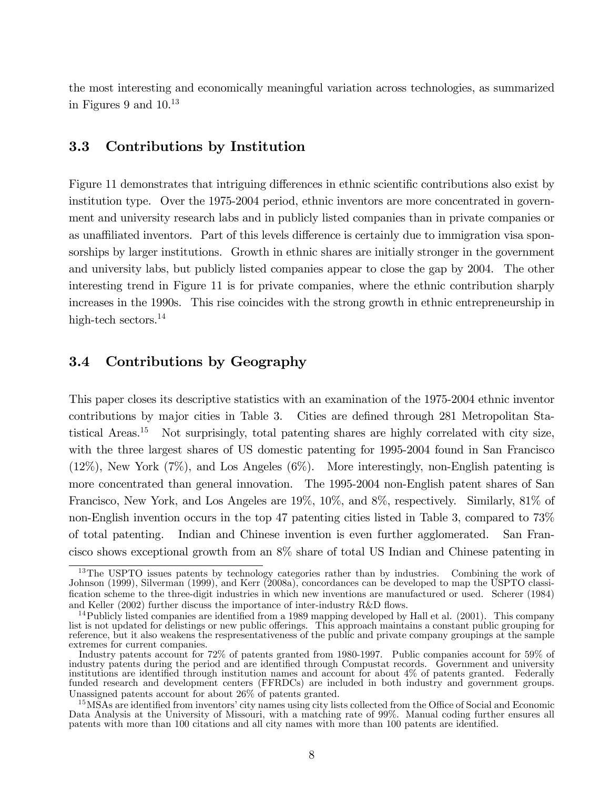the most interesting and economically meaningful variation across technologies, as summarized in Figures 9 and  $10^{13}$ 

#### 3.3 Contributions by Institution

Figure 11 demonstrates that intriguing differences in ethnic scientific contributions also exist by institution type. Over the 1975-2004 period, ethnic inventors are more concentrated in government and university research labs and in publicly listed companies than in private companies or as unaffiliated inventors. Part of this levels difference is certainly due to immigration visa sponsorships by larger institutions. Growth in ethnic shares are initially stronger in the government and university labs, but publicly listed companies appear to close the gap by 2004. The other interesting trend in Figure 11 is for private companies, where the ethnic contribution sharply increases in the 1990s. This rise coincides with the strong growth in ethnic entrepreneurship in high-tech sectors.<sup>14</sup>

#### 3.4 Contributions by Geography

This paper closes its descriptive statistics with an examination of the 1975-2004 ethnic inventor contributions by major cities in Table 3. Cities are defined through 281 Metropolitan Statistical Areas.<sup>15</sup> Not surprisingly, total patenting shares are highly correlated with city size, with the three largest shares of US domestic patenting for 1995-2004 found in San Francisco  $(12\%)$ , New York  $(7\%)$ , and Los Angeles  $(6\%)$ . More interestingly, non-English patenting is more concentrated than general innovation. The 1995-2004 non-English patent shares of San Francisco, New York, and Los Angeles are 19%, 10%, and 8%, respectively. Similarly, 81% of non-English invention occurs in the top 47 patenting cities listed in Table 3, compared to 73% of total patenting. Indian and Chinese invention is even further agglomerated. San Francisco shows exceptional growth from an 8% share of total US Indian and Chinese patenting in

<sup>&</sup>lt;sup>13</sup>The USPTO issues patents by technology categories rather than by industries. Combining the work of Johnson (1999), Silverman (1999), and Kerr (2008a), concordances can be developed to map the USPTO classification scheme to the three-digit industries in which new inventions are manufactured or used. Scherer (1984) and Keller  $(2002)$  further discuss the importance of inter-industry R&D flows.

 $14$ Publicly listed companies are identified from a 1989 mapping developed by Hall et al. (2001). This company list is not updated for delistings or new public offerings. This approach maintains a constant public grouping for reference, but it also weakens the respresentativeness of the public and private company groupings at the sample extremes for current companies.

Industry patents account for 72% of patents granted from 1980-1997. Public companies account for 59% of industry patents during the period and are identified through Compustat records. Government and university institutions are identified through institution names and account for about 4% of patents granted. Federally funded research and development centers (FFRDCs) are included in both industry and government groups. Unassigned patents account for about 26% of patents granted.

<sup>&</sup>lt;sup>15</sup>MSAs are identified from inventors' city names using city lists collected from the Office of Social and Economic Data Analysis at the University of Missouri, with a matching rate of 99%. Manual coding further ensures all patents with more than 100 citations and all city names with more than 100 patents are identified.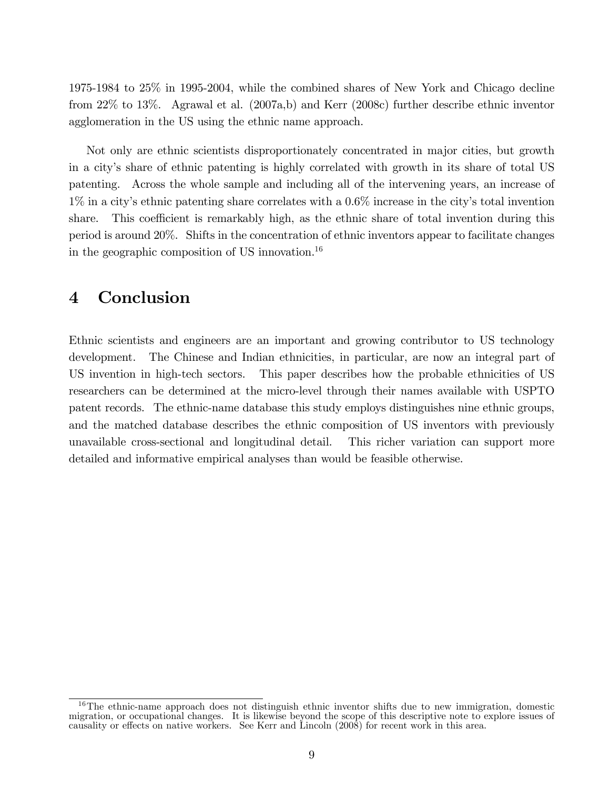1975-1984 to 25% in 1995-2004, while the combined shares of New York and Chicago decline from 22% to 13%. Agrawal et al. (2007a,b) and Kerr (2008c) further describe ethnic inventor agglomeration in the US using the ethnic name approach.

Not only are ethnic scientists disproportionately concentrated in major cities, but growth in a cityís share of ethnic patenting is highly correlated with growth in its share of total US patenting. Across the whole sample and including all of the intervening years, an increase of 1% in a cityís ethnic patenting share correlates with a 0.6% increase in the cityís total invention share. This coefficient is remarkably high, as the ethnic share of total invention during this period is around 20%. Shifts in the concentration of ethnic inventors appear to facilitate changes in the geographic composition of US innovation.<sup>16</sup>

## 4 Conclusion

Ethnic scientists and engineers are an important and growing contributor to US technology development. The Chinese and Indian ethnicities, in particular, are now an integral part of US invention in high-tech sectors. This paper describes how the probable ethnicities of US researchers can be determined at the micro-level through their names available with USPTO patent records. The ethnic-name database this study employs distinguishes nine ethnic groups, and the matched database describes the ethnic composition of US inventors with previously unavailable cross-sectional and longitudinal detail. This richer variation can support more detailed and informative empirical analyses than would be feasible otherwise.

 $16$ The ethnic-name approach does not distinguish ethnic inventor shifts due to new immigration, domestic migration, or occupational changes. It is likewise beyond the scope of this descriptive note to explore issues of causality or effects on native workers. See Kerr and Lincoln  $(2008)$  for recent work in this area.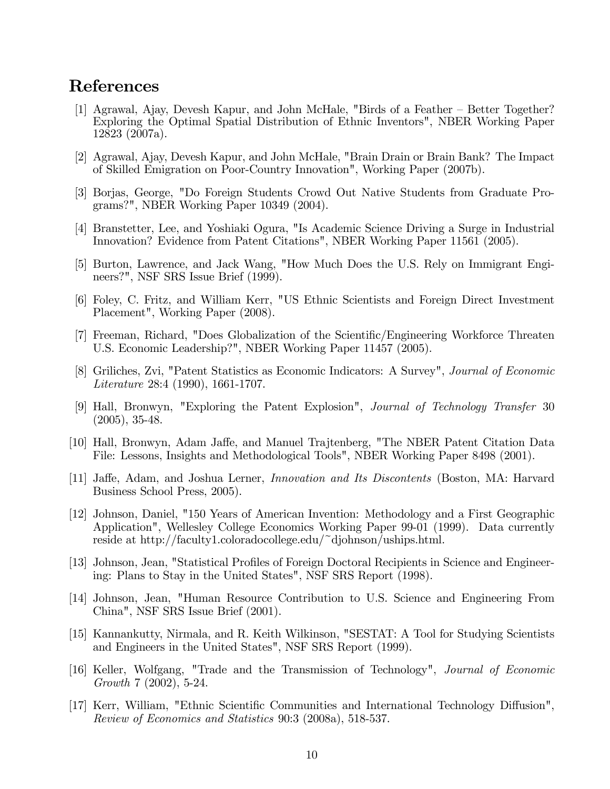### References

- [1] Agrawal, Ajay, Devesh Kapur, and John McHale, "Birds of a Feather Better Together? Exploring the Optimal Spatial Distribution of Ethnic Inventors", NBER Working Paper 12823 (2007a).
- [2] Agrawal, Ajay, Devesh Kapur, and John McHale, "Brain Drain or Brain Bank? The Impact of Skilled Emigration on Poor-Country Innovation", Working Paper (2007b).
- [3] Borjas, George, "Do Foreign Students Crowd Out Native Students from Graduate Programs?", NBER Working Paper 10349 (2004).
- [4] Branstetter, Lee, and Yoshiaki Ogura, "Is Academic Science Driving a Surge in Industrial Innovation? Evidence from Patent Citations", NBER Working Paper 11561 (2005).
- [5] Burton, Lawrence, and Jack Wang, "How Much Does the U.S. Rely on Immigrant Engineers?", NSF SRS Issue Brief (1999).
- [6] Foley, C. Fritz, and William Kerr, "US Ethnic Scientists and Foreign Direct Investment Placement", Working Paper (2008).
- [7] Freeman, Richard, "Does Globalization of the Scientific/Engineering Workforce Threaten U.S. Economic Leadership?", NBER Working Paper 11457 (2005).
- [8] Griliches, Zvi, "Patent Statistics as Economic Indicators: A Survey", Journal of Economic Literature 28:4 (1990), 1661-1707.
- [9] Hall, Bronwyn, "Exploring the Patent Explosion", Journal of Technology Transfer 30 (2005), 35-48.
- [10] Hall, Bronwyn, Adam Jaffe, and Manuel Trajtenberg, "The NBER Patent Citation Data File: Lessons, Insights and Methodological Tools", NBER Working Paper 8498 (2001).
- [11] Jaffe, Adam, and Joshua Lerner, *Innovation and Its Discontents* (Boston, MA: Harvard Business School Press, 2005).
- [12] Johnson, Daniel, "150 Years of American Invention: Methodology and a First Geographic Application", Wellesley College Economics Working Paper 99-01 (1999). Data currently reside at http://faculty1.coloradocollege.edu/~djohnson/uships.html.
- [13] Johnson, Jean, "Statistical Profiles of Foreign Doctoral Recipients in Science and Engineering: Plans to Stay in the United States", NSF SRS Report (1998).
- [14] Johnson, Jean, "Human Resource Contribution to U.S. Science and Engineering From China", NSF SRS Issue Brief (2001).
- [15] Kannankutty, Nirmala, and R. Keith Wilkinson, "SESTAT: A Tool for Studying Scientists and Engineers in the United States", NSF SRS Report (1999).
- [16] Keller, Wolfgang, "Trade and the Transmission of Technology", Journal of Economic Growth 7 (2002), 5-24.
- [17] Kerr, William, "Ethnic Scientific Communities and International Technology Diffusion", Review of Economics and Statistics 90:3 (2008a), 518-537.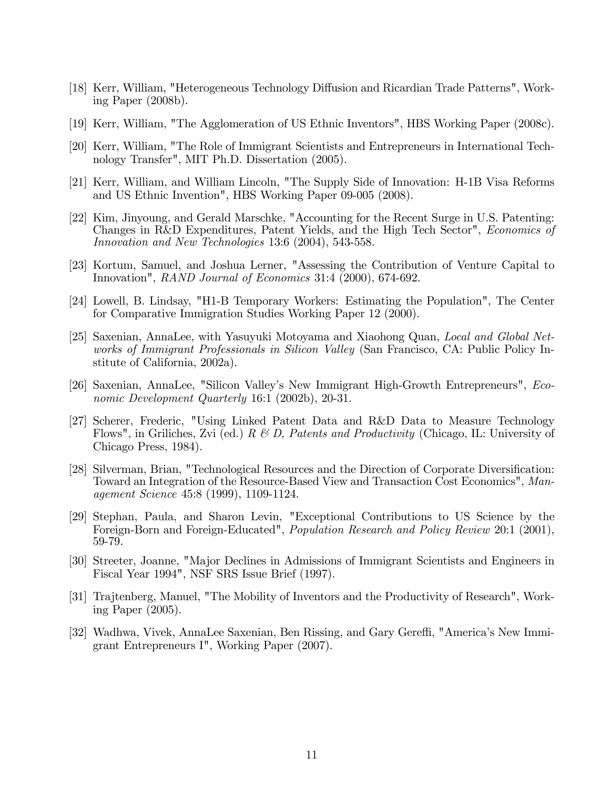- [18] Kerr, William, "Heterogeneous Technology Diffusion and Ricardian Trade Patterns", Working Paper (2008b).
- [19] Kerr, William, "The Agglomeration of US Ethnic Inventors", HBS Working Paper (2008c).
- [20] Kerr, William, "The Role of Immigrant Scientists and Entrepreneurs in International Technology Transfer", MIT Ph.D. Dissertation (2005).
- [21] Kerr, William, and William Lincoln, "The Supply Side of Innovation: H-1B Visa Reforms and US Ethnic Invention", HBS Working Paper 09-005 (2008).
- [22] Kim, Jinyoung, and Gerald Marschke, "Accounting for the Recent Surge in U.S. Patenting: Changes in R&D Expenditures, Patent Yields, and the High Tech Sector", Economics of Innovation and New Technologies 13:6 (2004), 543-558.
- [23] Kortum, Samuel, and Joshua Lerner, "Assessing the Contribution of Venture Capital to Innovation", RAND Journal of Economics 31:4 (2000), 674-692.
- [24] Lowell, B. Lindsay, "H1-B Temporary Workers: Estimating the Population", The Center for Comparative Immigration Studies Working Paper 12 (2000).
- [25] Saxenian, AnnaLee, with Yasuyuki Motoyama and Xiaohong Quan, Local and Global Networks of Immigrant Professionals in Silicon Valley (San Francisco, CA: Public Policy Institute of California, 2002a).
- [26] Saxenian, AnnaLee, "Silicon Valley's New Immigrant High-Growth Entrepreneurs", *Eco*nomic Development Quarterly 16:1 (2002b), 20-31.
- [27] Scherer, Frederic, "Using Linked Patent Data and R&D Data to Measure Technology Flows", in Griliches, Zvi (ed.) R & D, Patents and Productivity (Chicago, IL: University of Chicago Press, 1984).
- [28] Silverman, Brian, "Technological Resources and the Direction of Corporate Diversification: Toward an Integration of the Resource-Based View and Transaction Cost Economics", Management Science 45:8 (1999), 1109-1124.
- [29] Stephan, Paula, and Sharon Levin, "Exceptional Contributions to US Science by the Foreign-Born and Foreign-Educated", Population Research and Policy Review 20:1 (2001), 59-79.
- [30] Streeter, Joanne, "Major Declines in Admissions of Immigrant Scientists and Engineers in Fiscal Year 1994", NSF SRS Issue Brief (1997).
- [31] Trajtenberg, Manuel, "The Mobility of Inventors and the Productivity of Research", Working Paper (2005).
- [32] Wadhwa, Vivek, AnnaLee Saxenian, Ben Rissing, and Gary Gereffi, "America's New Immigrant Entrepreneurs I", Working Paper (2007).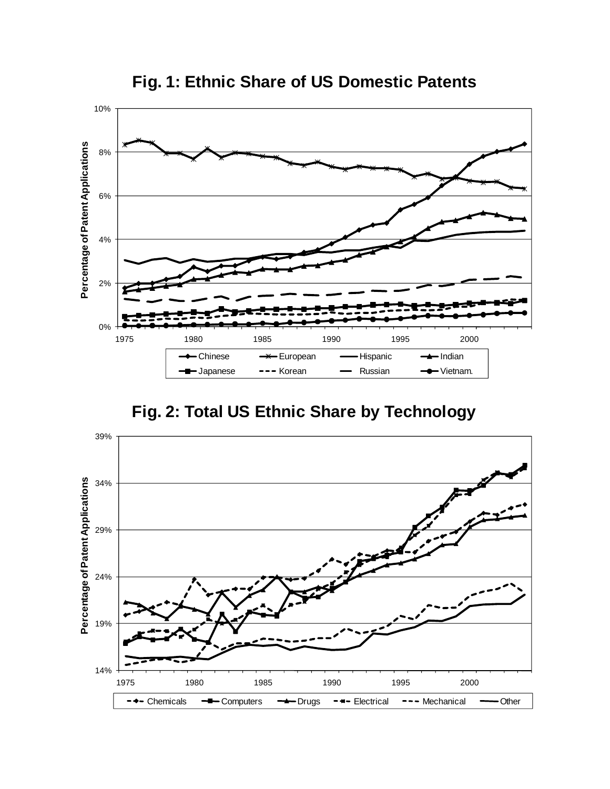

**Fig. 1: Ethnic Share of US Domestic Patents**

**Fig. 2: Total US Ethnic Share by Technology**

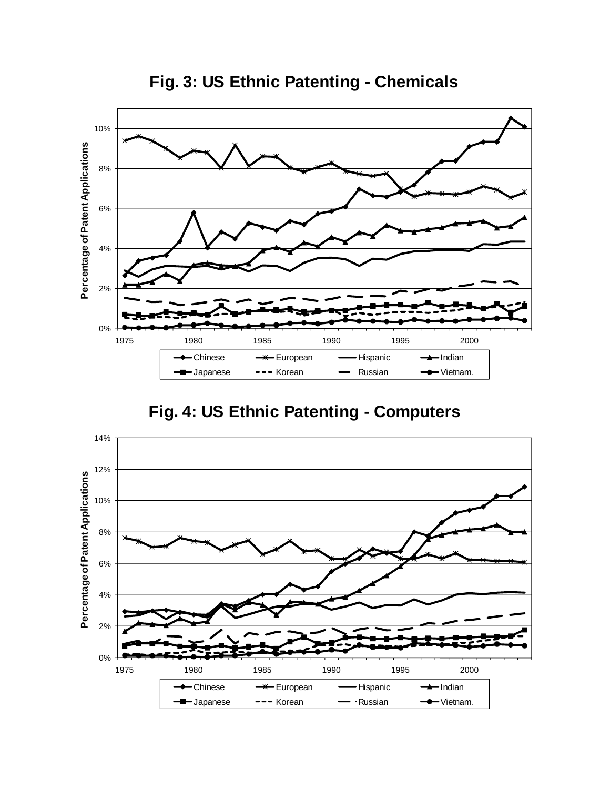

**Fig. 3: US Ethnic Patenting - Chemicals**

## **Fig. 4: US Ethnic Patenting - Computers**

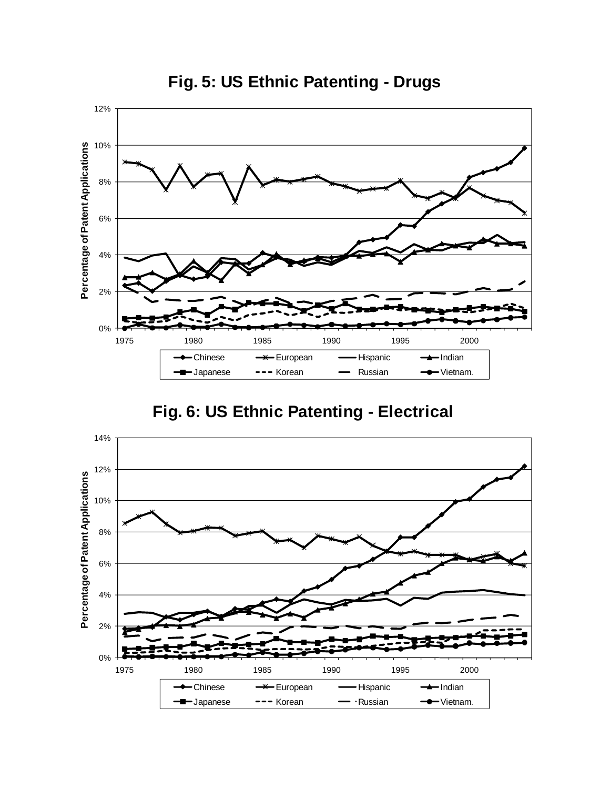

**Fig. 5: US Ethnic Patenting - Drugs**

**Fig. 6: US Ethnic Patenting - Electrical**

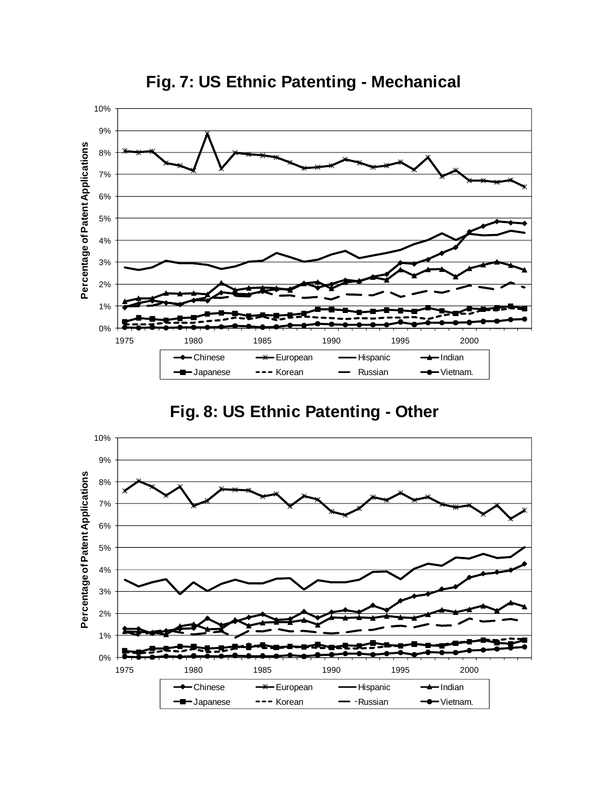

**Fig. 7: US Ethnic Patenting - Mechanical**

# **Fig. 8: US Ethnic Patenting - Other**

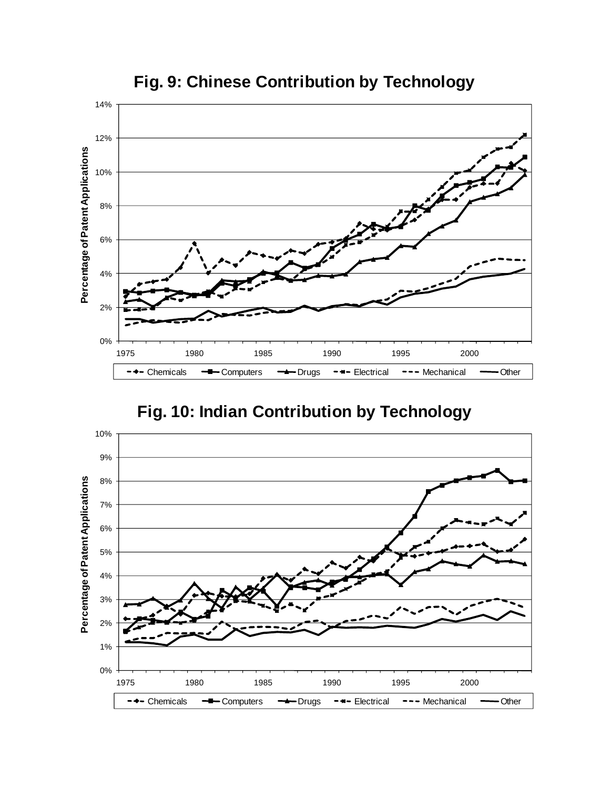

**Fig. 9: Chinese Contribution by Technology**

## **Fig. 10: Indian Contribution by Technology**

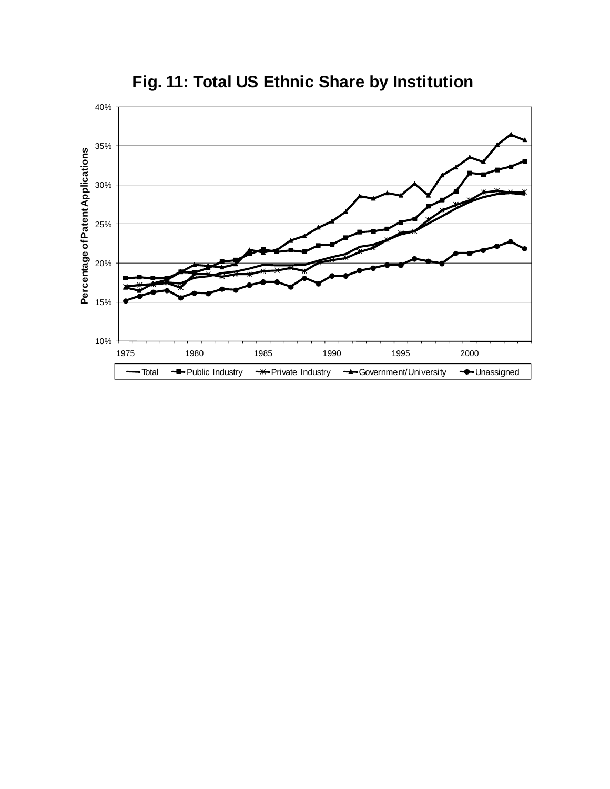

**Fig. 11: Total US Ethnic Share by Institution**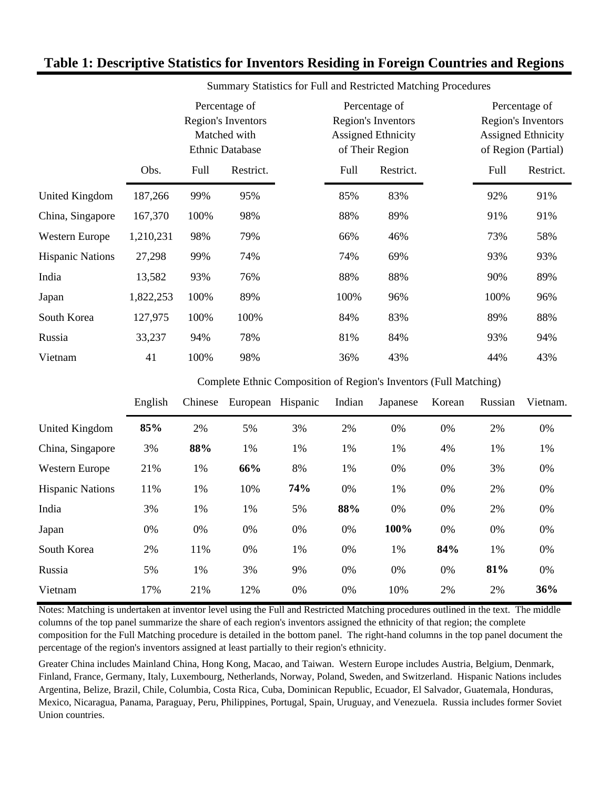#### **Table 1: Descriptive Statistics for Inventors Residing in Foreign Countries and Regions**

|                         |           | Percentage of<br>Region's Inventors<br>Matched with<br><b>Ethnic Database</b> |           | Percentage of<br>Region's Inventors<br><b>Assigned Ethnicity</b><br>of Their Region |           | Percentage of<br>Region's Inventors<br><b>Assigned Ethnicity</b><br>of Region (Partial) |           |
|-------------------------|-----------|-------------------------------------------------------------------------------|-----------|-------------------------------------------------------------------------------------|-----------|-----------------------------------------------------------------------------------------|-----------|
|                         | Obs.      | Full                                                                          | Restrict. | Full                                                                                | Restrict. | Full                                                                                    | Restrict. |
| United Kingdom          | 187,266   | 99%                                                                           | 95%       | 85%                                                                                 | 83%       | 92%                                                                                     | 91%       |
| China, Singapore        | 167,370   | 100%                                                                          | 98%       | 88%                                                                                 | 89%       | 91%                                                                                     | 91%       |
| <b>Western Europe</b>   | 1,210,231 | 98%                                                                           | 79%       | 66%                                                                                 | 46%       | 73%                                                                                     | 58%       |
| <b>Hispanic Nations</b> | 27,298    | 99%                                                                           | 74%       | 74%                                                                                 | 69%       | 93%                                                                                     | 93%       |
| India                   | 13,582    | 93%                                                                           | 76%       | 88%                                                                                 | 88%       | 90%                                                                                     | 89%       |
| Japan                   | 1,822,253 | 100%                                                                          | 89%       | 100%                                                                                | 96%       | 100%                                                                                    | 96%       |
| South Korea             | 127,975   | 100%                                                                          | 100%      | 84%                                                                                 | 83%       | 89%                                                                                     | 88%       |
| Russia                  | 33,237    | 94%                                                                           | 78%       | 81%                                                                                 | 84%       | 93%                                                                                     | 94%       |
| Vietnam                 | 41        | 100%                                                                          | 98%       | 36%                                                                                 | 43%       | 44%                                                                                     | 43%       |

Summary Statistics for Full and Restricted Matching Procedures

Complete Ethnic Composition of Region's Inventors (Full Matching)

|                         | English | Chinese | European | Hispanic | Indian | Japanese | Korean | Russian | Vietnam. |
|-------------------------|---------|---------|----------|----------|--------|----------|--------|---------|----------|
| United Kingdom          | 85%     | 2%      | 5%       | 3%       | 2%     | 0%       | 0%     | 2%      | 0%       |
| China, Singapore        | 3%      | 88%     | 1%       | 1%       | 1%     | 1%       | 4%     | 1%      | 1%       |
| Western Europe          | 21%     | 1%      | 66%      | 8%       | 1%     | 0%       | 0%     | 3%      | 0%       |
| <b>Hispanic Nations</b> | 11%     | 1%      | 10%      | 74%      | 0%     | 1%       | 0%     | 2%      | 0%       |
| India                   | 3%      | 1%      | 1%       | 5%       | 88%    | 0%       | 0%     | 2%      | 0%       |
| Japan                   | 0%      | 0%      | 0%       | 0%       | 0%     | 100%     | 0%     | 0%      | 0%       |
| South Korea             | 2%      | 11%     | 0%       | 1%       | 0%     | 1%       | 84%    | 1%      | 0%       |
| Russia                  | 5%      | 1%      | 3%       | 9%       | 0%     | 0%       | 0%     | 81%     | 0%       |
| Vietnam                 | 17%     | 21%     | 12%      | 0%       | 0%     | 10%      | 2%     | 2%      | 36%      |

Notes: Matching is undertaken at inventor level using the Full and Restricted Matching procedures outlined in the text. The middle columns of the top panel summarize the share of each region's inventors assigned the ethnicity of that region; the complete composition for the Full Matching procedure is detailed in the bottom panel. The right-hand columns in the top panel document the percentage of the region's inventors assigned at least partially to their region's ethnicity.

Greater China includes Mainland China, Hong Kong, Macao, and Taiwan. Western Europe includes Austria, Belgium, Denmark, Finland, France, Germany, Italy, Luxembourg, Netherlands, Norway, Poland, Sweden, and Switzerland. Hispanic Nations includes Argentina, Belize, Brazil, Chile, Columbia, Costa Rica, Cuba, Dominican Republic, Ecuador, El Salvador, Guatemala, Honduras, Mexico, Nicaragua, Panama, Paraguay, Peru, Philippines, Portugal, Spain, Uruguay, and Venezuela. Russia includes former Soviet Union countries.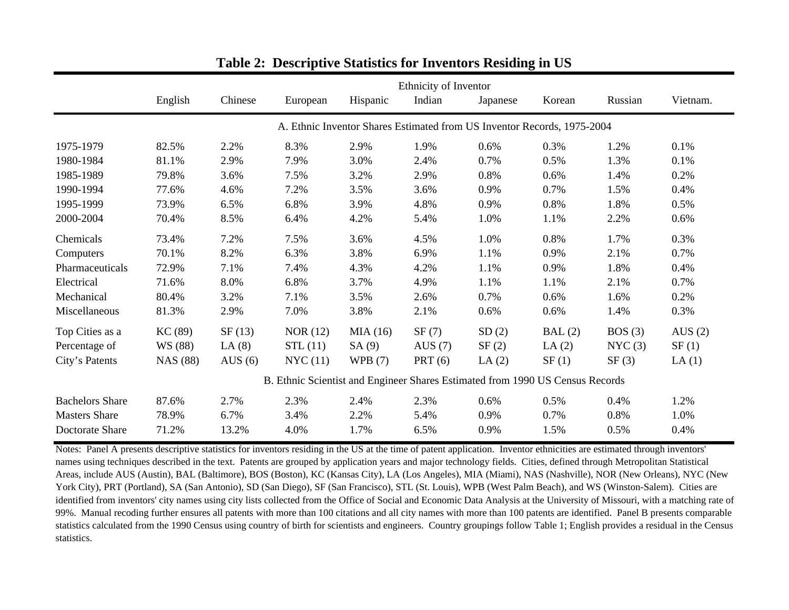|                        |                 |           |                                                                               |           | Ethnicity of Inventor |                                                                         |          |         |           |
|------------------------|-----------------|-----------|-------------------------------------------------------------------------------|-----------|-----------------------|-------------------------------------------------------------------------|----------|---------|-----------|
|                        | English         | Chinese   | European                                                                      | Hispanic  | Indian                | Japanese                                                                | Korean   | Russian | Vietnam.  |
|                        |                 |           |                                                                               |           |                       | A. Ethnic Inventor Shares Estimated from US Inventor Records, 1975-2004 |          |         |           |
| 1975-1979              | 82.5%           | 2.2%      | 8.3%                                                                          | 2.9%      | 1.9%                  | 0.6%                                                                    | 0.3%     | 1.2%    | 0.1%      |
| 1980-1984              | 81.1%           | 2.9%      | 7.9%                                                                          | 3.0%      | 2.4%                  | 0.7%                                                                    | 0.5%     | 1.3%    | 0.1%      |
| 1985-1989              | 79.8%           | 3.6%      | 7.5%                                                                          | 3.2%      | 2.9%                  | 0.8%                                                                    | 0.6%     | 1.4%    | 0.2%      |
| 1990-1994              | 77.6%           | 4.6%      | 7.2%                                                                          | 3.5%      | 3.6%                  | 0.9%                                                                    | 0.7%     | 1.5%    | 0.4%      |
| 1995-1999              | 73.9%           | 6.5%      | 6.8%                                                                          | 3.9%      | 4.8%                  | 0.9%                                                                    | 0.8%     | 1.8%    | 0.5%      |
| 2000-2004              | 70.4%           | 8.5%      | 6.4%                                                                          | 4.2%      | 5.4%                  | 1.0%                                                                    | 1.1%     | 2.2%    | 0.6%      |
| Chemicals              | 73.4%           | 7.2%      | 7.5%                                                                          | 3.6%      | 4.5%                  | 1.0%                                                                    | 0.8%     | 1.7%    | 0.3%      |
| Computers              | 70.1%           | 8.2%      | 6.3%                                                                          | 3.8%      | 6.9%                  | 1.1%                                                                    | 0.9%     | 2.1%    | 0.7%      |
| Pharmaceuticals        | 72.9%           | 7.1%      | 7.4%                                                                          | 4.3%      | 4.2%                  | 1.1%                                                                    | 0.9%     | 1.8%    | 0.4%      |
| Electrical             | 71.6%           | 8.0%      | 6.8%                                                                          | 3.7%      | 4.9%                  | 1.1%                                                                    | 1.1%     | 2.1%    | 0.7%      |
| Mechanical             | 80.4%           | 3.2%      | 7.1%                                                                          | 3.5%      | 2.6%                  | 0.7%                                                                    | 0.6%     | 1.6%    | 0.2%      |
| Miscellaneous          | 81.3%           | 2.9%      | 7.0%                                                                          | 3.8%      | 2.1%                  | 0.6%                                                                    | 0.6%     | 1.4%    | 0.3%      |
| Top Cities as a        | KC(89)          | SF(13)    | NOR $(12)$                                                                    | MIA(16)   | SF(7)                 | SD(2)                                                                   | BAL(2)   | BOS(3)  | AUS $(2)$ |
| Percentage of          | WS (88)         | LA $(8)$  | STL(11)                                                                       | SA(9)     | AUS $(7)$             | SF(2)                                                                   | LA $(2)$ | NYC(3)  | SF(1)     |
| City's Patents         | <b>NAS</b> (88) | AUS $(6)$ | NYC(11)                                                                       | WPB $(7)$ | PRT(6)                | LA $(2)$                                                                | SF(1)    | SF(3)   | LA(1)     |
|                        |                 |           | B. Ethnic Scientist and Engineer Shares Estimated from 1990 US Census Records |           |                       |                                                                         |          |         |           |
| <b>Bachelors Share</b> | 87.6%           | 2.7%      | 2.3%                                                                          | 2.4%      | 2.3%                  | 0.6%                                                                    | 0.5%     | 0.4%    | 1.2%      |
| <b>Masters Share</b>   | 78.9%           | 6.7%      | 3.4%                                                                          | 2.2%      | 5.4%                  | 0.9%                                                                    | 0.7%     | 0.8%    | 1.0%      |
| Doctorate Share        | 71.2%           | 13.2%     | 4.0%                                                                          | 1.7%      | 6.5%                  | 0.9%                                                                    | 1.5%     | 0.5%    | 0.4%      |

### **Table 2: Descriptive Statistics for Inventors Residing in US**

Notes: Panel A presents descriptive statistics for inventors residing in the US at the time of patent application. Inventor ethnicities are estimated through inventors' names using techniques described in the text. Patents are grouped by application years and major technology fields. Cities, defined through Metropolitan Statistical Areas, include AUS (Austin), BAL (Baltimore), BOS (Boston), KC (Kansas City), LA (Los Angeles), MIA (Miami), NAS (Nashville), NOR (New Orleans), NYC (New York City), PRT (Portland), SA (San Antonio), SD (San Diego), SF (San Francisco), STL (St. Louis), WPB (West Palm Beach), and WS (Winston-Salem). Cities are identified from inventors' city names using city lists collected from the Office of Social and Economic Data Analysis at the University of Missouri, with a matching rate of 99%. Manual recoding further ensures all patents with more than 100 citations and all city names with more than 100 patents are identified. Panel B presents comparable statistics calculated from the 1990 Census using country of birth for scientists and engineers. Country groupings follow Table 1; English provides a residual in the Census statistics.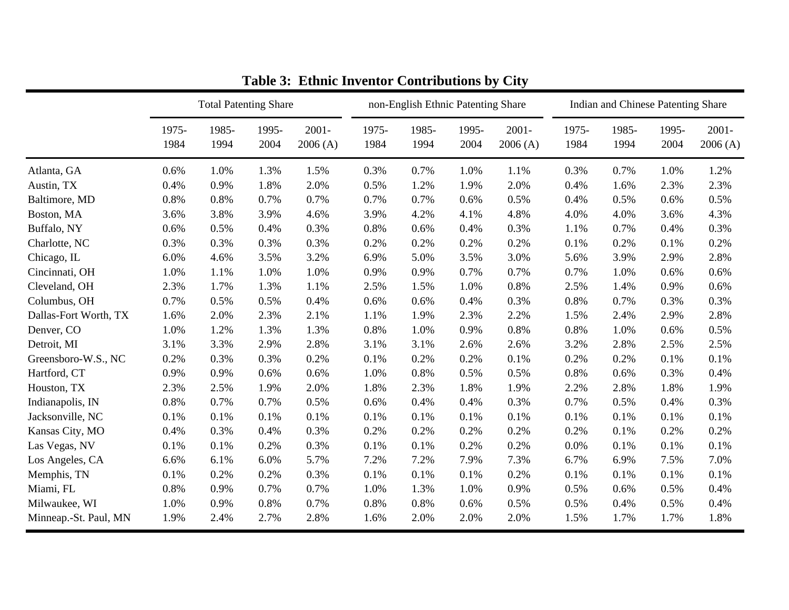|                       |               | <b>Total Patenting Share</b> |               |                     | non-English Ethnic Patenting Share |               |               |                     | Indian and Chinese Patenting Share |               |               |                     |
|-----------------------|---------------|------------------------------|---------------|---------------------|------------------------------------|---------------|---------------|---------------------|------------------------------------|---------------|---------------|---------------------|
|                       | 1975-<br>1984 | 1985-<br>1994                | 1995-<br>2004 | $2001 -$<br>2006(A) | 1975-<br>1984                      | 1985-<br>1994 | 1995-<br>2004 | $2001 -$<br>2006(A) | 1975-<br>1984                      | 1985-<br>1994 | 1995-<br>2004 | $2001 -$<br>2006(A) |
| Atlanta, GA           | 0.6%          | 1.0%                         | 1.3%          | 1.5%                | 0.3%                               | 0.7%          | 1.0%          | 1.1%                | 0.3%                               | 0.7%          | 1.0%          | 1.2%                |
| Austin, TX            | 0.4%          | 0.9%                         | 1.8%          | 2.0%                | 0.5%                               | 1.2%          | 1.9%          | 2.0%                | 0.4%                               | 1.6%          | 2.3%          | 2.3%                |
| Baltimore, MD         | 0.8%          | 0.8%                         | 0.7%          | 0.7%                | 0.7%                               | 0.7%          | 0.6%          | 0.5%                | 0.4%                               | 0.5%          | 0.6%          | 0.5%                |
| Boston, MA            | 3.6%          | 3.8%                         | 3.9%          | 4.6%                | 3.9%                               | 4.2%          | 4.1%          | 4.8%                | 4.0%                               | 4.0%          | 3.6%          | 4.3%                |
| Buffalo, NY           | 0.6%          | 0.5%                         | 0.4%          | 0.3%                | 0.8%                               | 0.6%          | 0.4%          | 0.3%                | 1.1%                               | 0.7%          | 0.4%          | 0.3%                |
| Charlotte, NC         | 0.3%          | 0.3%                         | 0.3%          | 0.3%                | 0.2%                               | 0.2%          | 0.2%          | 0.2%                | 0.1%                               | 0.2%          | 0.1%          | 0.2%                |
| Chicago, IL           | 6.0%          | 4.6%                         | 3.5%          | 3.2%                | 6.9%                               | 5.0%          | 3.5%          | 3.0%                | 5.6%                               | 3.9%          | 2.9%          | 2.8%                |
| Cincinnati, OH        | 1.0%          | 1.1%                         | 1.0%          | 1.0%                | 0.9%                               | 0.9%          | 0.7%          | 0.7%                | 0.7%                               | 1.0%          | 0.6%          | 0.6%                |
| Cleveland, OH         | 2.3%          | 1.7%                         | 1.3%          | 1.1%                | 2.5%                               | 1.5%          | 1.0%          | 0.8%                | 2.5%                               | 1.4%          | 0.9%          | 0.6%                |
| Columbus, OH          | 0.7%          | 0.5%                         | 0.5%          | 0.4%                | 0.6%                               | 0.6%          | 0.4%          | 0.3%                | 0.8%                               | 0.7%          | 0.3%          | 0.3%                |
| Dallas-Fort Worth, TX | 1.6%          | 2.0%                         | 2.3%          | 2.1%                | 1.1%                               | 1.9%          | 2.3%          | 2.2%                | 1.5%                               | 2.4%          | 2.9%          | 2.8%                |
| Denver, CO            | 1.0%          | 1.2%                         | 1.3%          | 1.3%                | 0.8%                               | 1.0%          | 0.9%          | 0.8%                | 0.8%                               | 1.0%          | 0.6%          | 0.5%                |
| Detroit, MI           | 3.1%          | 3.3%                         | 2.9%          | 2.8%                | 3.1%                               | 3.1%          | 2.6%          | 2.6%                | 3.2%                               | 2.8%          | 2.5%          | 2.5%                |
| Greensboro-W.S., NC   | 0.2%          | 0.3%                         | 0.3%          | 0.2%                | 0.1%                               | 0.2%          | 0.2%          | 0.1%                | 0.2%                               | 0.2%          | 0.1%          | 0.1%                |
| Hartford, CT          | 0.9%          | 0.9%                         | 0.6%          | 0.6%                | 1.0%                               | 0.8%          | 0.5%          | 0.5%                | 0.8%                               | 0.6%          | 0.3%          | 0.4%                |
| Houston, TX           | 2.3%          | 2.5%                         | 1.9%          | 2.0%                | 1.8%                               | 2.3%          | 1.8%          | 1.9%                | 2.2%                               | 2.8%          | 1.8%          | 1.9%                |
| Indianapolis, IN      | 0.8%          | 0.7%                         | 0.7%          | 0.5%                | 0.6%                               | 0.4%          | 0.4%          | 0.3%                | 0.7%                               | 0.5%          | 0.4%          | 0.3%                |
| Jacksonville, NC      | 0.1%          | 0.1%                         | 0.1%          | 0.1%                | 0.1%                               | 0.1%          | 0.1%          | 0.1%                | 0.1%                               | 0.1%          | 0.1%          | 0.1%                |
| Kansas City, MO       | 0.4%          | 0.3%                         | 0.4%          | 0.3%                | 0.2%                               | 0.2%          | 0.2%          | 0.2%                | 0.2%                               | 0.1%          | 0.2%          | 0.2%                |
| Las Vegas, NV         | 0.1%          | 0.1%                         | 0.2%          | 0.3%                | 0.1%                               | 0.1%          | 0.2%          | 0.2%                | 0.0%                               | 0.1%          | 0.1%          | 0.1%                |
| Los Angeles, CA       | 6.6%          | 6.1%                         | 6.0%          | 5.7%                | 7.2%                               | 7.2%          | 7.9%          | 7.3%                | 6.7%                               | 6.9%          | 7.5%          | 7.0%                |
| Memphis, TN           | 0.1%          | 0.2%                         | 0.2%          | 0.3%                | 0.1%                               | 0.1%          | 0.1%          | 0.2%                | 0.1%                               | 0.1%          | 0.1%          | 0.1%                |
| Miami, FL             | 0.8%          | 0.9%                         | 0.7%          | 0.7%                | 1.0%                               | 1.3%          | 1.0%          | 0.9%                | 0.5%                               | 0.6%          | 0.5%          | 0.4%                |
| Milwaukee, WI         | 1.0%          | 0.9%                         | 0.8%          | 0.7%                | 0.8%                               | 0.8%          | 0.6%          | 0.5%                | 0.5%                               | 0.4%          | 0.5%          | 0.4%                |
| Minneap.-St. Paul, MN | 1.9%          | 2.4%                         | 2.7%          | 2.8%                | 1.6%                               | 2.0%          | 2.0%          | 2.0%                | 1.5%                               | 1.7%          | 1.7%          | 1.8%                |

**Table 3: Ethnic Inventor Contributions by City**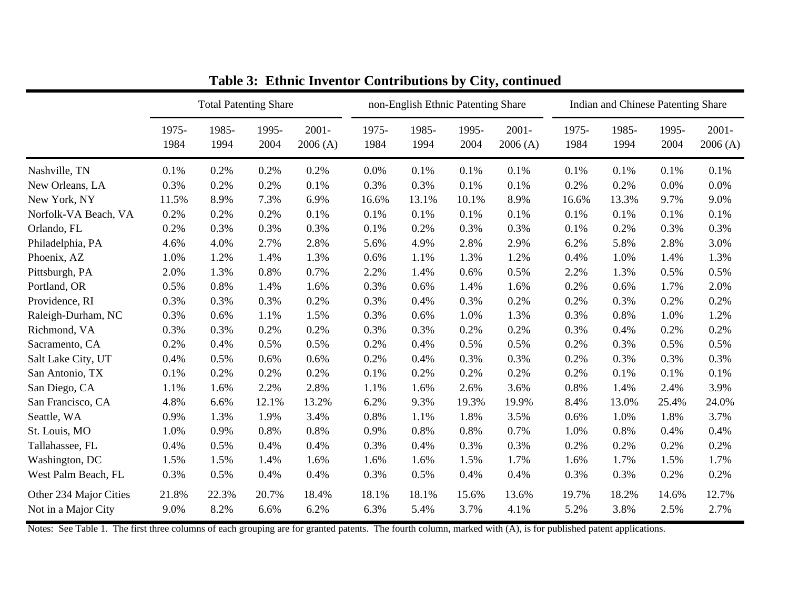|                        |               | <b>Total Patenting Share</b> |               |                     | non-English Ethnic Patenting Share |               |               |                     | Indian and Chinese Patenting Share |               |               |                     |
|------------------------|---------------|------------------------------|---------------|---------------------|------------------------------------|---------------|---------------|---------------------|------------------------------------|---------------|---------------|---------------------|
|                        | 1975-<br>1984 | 1985-<br>1994                | 1995-<br>2004 | $2001 -$<br>2006(A) | 1975-<br>1984                      | 1985-<br>1994 | 1995-<br>2004 | $2001 -$<br>2006(A) | 1975-<br>1984                      | 1985-<br>1994 | 1995-<br>2004 | $2001 -$<br>2006(A) |
| Nashville, TN          | 0.1%          | 0.2%                         | 0.2%          | 0.2%                | 0.0%                               | 0.1%          | 0.1%          | 0.1%                | 0.1%                               | 0.1%          | 0.1%          | 0.1%                |
| New Orleans, LA        | 0.3%          | 0.2%                         | 0.2%          | 0.1%                | 0.3%                               | 0.3%          | 0.1%          | 0.1%                | 0.2%                               | 0.2%          | 0.0%          | 0.0%                |
| New York, NY           | 11.5%         | 8.9%                         | 7.3%          | 6.9%                | 16.6%                              | 13.1%         | 10.1%         | 8.9%                | 16.6%                              | 13.3%         | 9.7%          | 9.0%                |
| Norfolk-VA Beach, VA   | 0.2%          | 0.2%                         | 0.2%          | 0.1%                | 0.1%                               | 0.1%          | 0.1%          | 0.1%                | 0.1%                               | 0.1%          | 0.1%          | 0.1%                |
| Orlando, FL            | 0.2%          | 0.3%                         | 0.3%          | 0.3%                | 0.1%                               | 0.2%          | 0.3%          | 0.3%                | 0.1%                               | 0.2%          | 0.3%          | 0.3%                |
| Philadelphia, PA       | 4.6%          | 4.0%                         | 2.7%          | 2.8%                | 5.6%                               | 4.9%          | 2.8%          | 2.9%                | 6.2%                               | 5.8%          | 2.8%          | 3.0%                |
| Phoenix, AZ            | 1.0%          | 1.2%                         | 1.4%          | 1.3%                | 0.6%                               | 1.1%          | 1.3%          | 1.2%                | 0.4%                               | 1.0%          | 1.4%          | 1.3%                |
| Pittsburgh, PA         | 2.0%          | 1.3%                         | 0.8%          | 0.7%                | 2.2%                               | 1.4%          | 0.6%          | 0.5%                | 2.2%                               | 1.3%          | 0.5%          | 0.5%                |
| Portland, OR           | 0.5%          | 0.8%                         | 1.4%          | 1.6%                | 0.3%                               | 0.6%          | 1.4%          | 1.6%                | 0.2%                               | 0.6%          | 1.7%          | 2.0%                |
| Providence, RI         | 0.3%          | 0.3%                         | 0.3%          | 0.2%                | 0.3%                               | 0.4%          | 0.3%          | 0.2%                | 0.2%                               | 0.3%          | 0.2%          | 0.2%                |
| Raleigh-Durham, NC     | 0.3%          | 0.6%                         | 1.1%          | 1.5%                | 0.3%                               | 0.6%          | 1.0%          | 1.3%                | 0.3%                               | 0.8%          | 1.0%          | 1.2%                |
| Richmond, VA           | 0.3%          | 0.3%                         | 0.2%          | 0.2%                | 0.3%                               | 0.3%          | 0.2%          | 0.2%                | 0.3%                               | 0.4%          | 0.2%          | 0.2%                |
| Sacramento, CA         | 0.2%          | 0.4%                         | 0.5%          | 0.5%                | 0.2%                               | 0.4%          | 0.5%          | 0.5%                | 0.2%                               | 0.3%          | 0.5%          | 0.5%                |
| Salt Lake City, UT     | 0.4%          | 0.5%                         | 0.6%          | 0.6%                | 0.2%                               | 0.4%          | 0.3%          | 0.3%                | 0.2%                               | 0.3%          | 0.3%          | 0.3%                |
| San Antonio, TX        | 0.1%          | 0.2%                         | 0.2%          | 0.2%                | 0.1%                               | 0.2%          | 0.2%          | 0.2%                | 0.2%                               | 0.1%          | 0.1%          | 0.1%                |
| San Diego, CA          | 1.1%          | 1.6%                         | 2.2%          | 2.8%                | 1.1%                               | 1.6%          | 2.6%          | 3.6%                | 0.8%                               | 1.4%          | 2.4%          | 3.9%                |
| San Francisco, CA      | 4.8%          | 6.6%                         | 12.1%         | 13.2%               | 6.2%                               | 9.3%          | 19.3%         | 19.9%               | 8.4%                               | 13.0%         | 25.4%         | 24.0%               |
| Seattle, WA            | 0.9%          | 1.3%                         | 1.9%          | 3.4%                | 0.8%                               | 1.1%          | 1.8%          | 3.5%                | 0.6%                               | 1.0%          | 1.8%          | 3.7%                |
| St. Louis, MO          | 1.0%          | 0.9%                         | 0.8%          | 0.8%                | 0.9%                               | 0.8%          | 0.8%          | 0.7%                | 1.0%                               | 0.8%          | 0.4%          | 0.4%                |
| Tallahassee, FL        | 0.4%          | 0.5%                         | 0.4%          | 0.4%                | 0.3%                               | 0.4%          | 0.3%          | 0.3%                | 0.2%                               | 0.2%          | 0.2%          | 0.2%                |
| Washington, DC         | 1.5%          | 1.5%                         | 1.4%          | 1.6%                | 1.6%                               | 1.6%          | 1.5%          | 1.7%                | 1.6%                               | 1.7%          | 1.5%          | 1.7%                |
| West Palm Beach, FL    | 0.3%          | 0.5%                         | 0.4%          | 0.4%                | 0.3%                               | 0.5%          | 0.4%          | 0.4%                | 0.3%                               | 0.3%          | 0.2%          | 0.2%                |
| Other 234 Major Cities | 21.8%         | 22.3%                        | 20.7%         | 18.4%               | 18.1%                              | 18.1%         | 15.6%         | 13.6%               | 19.7%                              | 18.2%         | 14.6%         | 12.7%               |
| Not in a Major City    | 9.0%          | 8.2%                         | 6.6%          | 6.2%                | 6.3%                               | 5.4%          | 3.7%          | 4.1%                | 5.2%                               | 3.8%          | 2.5%          | 2.7%                |

**Table 3: Ethnic Inventor Contributions by City, continued**

Notes: See Table 1. The first three columns of each grouping are for granted patents. The fourth column, marked with (A), is for published patent applications.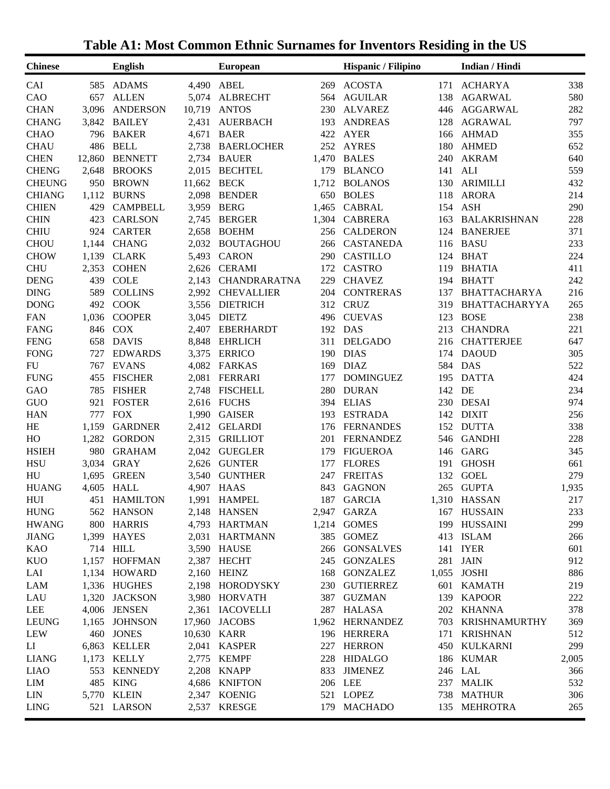| <b>ACOSTA</b><br>ADAMS<br><b>ABEL</b><br><b>ACHARYA</b><br>585<br>4,490<br>269<br>171<br>338<br><b>ALLEN</b><br><b>AGUILAR</b><br>580<br>657<br>5,074<br><b>ALBRECHT</b><br>138<br><b>AGARWAL</b><br>564<br><b>ANTOS</b><br>282<br>3,096<br><b>ANDERSON</b><br>10,719<br>230<br><b>ALVAREZ</b><br>446<br><b>AGGARWAL</b><br><b>BAILEY</b><br>2,431<br><b>AUERBACH</b><br>193<br><b>ANDREAS</b><br>128<br><b>AGRAWAL</b><br>797<br>3,842<br><b>BAER</b><br><b>AYER</b><br><b>AHMAD</b><br><b>BAKER</b><br>4,671<br>422<br>355<br>796<br>166<br><b>BELL</b><br><b>AYRES</b><br><b>AHMED</b><br>486<br>2,738<br><b>BAERLOCHER</b><br>252<br>180<br>652<br><b>BENNETT</b><br>12,860<br>2,734<br><b>BAUER</b><br>1,470<br><b>BALES</b><br><b>AKRAM</b><br>640<br>240<br>559<br><b>BROOKS</b><br><b>BECHTEL</b><br>179<br><b>BLANCO</b><br>ALI<br>2,648<br>2,015<br>141<br><b>ARIMILLI</b><br>950<br><b>BROWN</b><br><b>BECK</b><br>1,712<br><b>BOLANOS</b><br>130<br>432<br>11,662<br><b>BOLES</b><br><b>BURNS</b><br>2,098<br><b>BENDER</b><br>650<br>118<br><b>ARORA</b><br>214<br>1,112<br><b>BERG</b><br><b>CABRAL</b><br>ASH<br>290<br><b>CAMPBELL</b><br>3,959<br>1,465<br>429<br>154<br><b>CARLSON</b><br>2,745<br><b>BERGER</b><br>1,304<br><b>CABRERA</b><br><b>BALAKRISHNAN</b><br>228<br>423<br>163<br><b>CARTER</b><br>371<br><b>BOEHM</b><br><b>CALDERON</b><br><b>BANERJEE</b><br>924<br>2,658<br>256<br>124<br>233<br><b>CHANG</b><br>2,032<br><b>BOUTAGHOU</b><br><b>CASTANEDA</b><br><b>BASU</b><br>1,144<br>266<br>116<br>224<br><b>CLARK</b><br><b>CARON</b><br>290<br><b>CASTILLO</b><br><b>BHAT</b><br>1,139<br>5,493<br>124<br><b>CASTRO</b><br>2,353<br><b>COHEN</b><br>2,626<br><b>CERAMI</b><br>172<br>119<br><b>BHATIA</b><br>411<br><b>COLE</b><br><b>BHATT</b><br>242<br>439<br>2,143<br><b>CHANDRARATNA</b><br>229<br><b>CHAVEZ</b><br>194<br>589<br><b>COLLINS</b><br>2,992<br><b>CHEVALLIER</b><br>204<br><b>CONTRERAS</b><br>137<br>BHATTACHARYA<br>216<br><b>CRUZ</b><br><b>DONG</b><br>492<br><b>COOK</b><br><b>DIETRICH</b><br>312<br><b>BHATTACHARYYA</b><br>265<br>3,556<br>319<br><b>CUEVAS</b><br>238<br><b>FAN</b><br>1,036<br><b>COOPER</b><br>3,045<br><b>DIETZ</b><br>123<br><b>BOSE</b><br>496<br>FANG<br>846<br><b>COX</b><br>2,407<br><b>EBERHARDT</b><br>192<br><b>DAS</b><br>213<br><b>CHANDRA</b><br>221<br><b>DELGADO</b><br><b>FENG</b><br>658<br><b>DAVIS</b><br>8,848<br><b>EHRLICH</b><br>311<br><b>CHATTERJEE</b><br>647<br>216<br><b>FONG</b><br><b>ERRICO</b><br><b>EDWARDS</b><br>3,375<br>190<br><b>DIAS</b><br>174<br><b>DAOUD</b><br>305<br>727<br><b>FARKAS</b><br>584<br><b>DAS</b><br>FU<br>767<br>EVANS<br>4,082<br>169<br><b>DIAZ</b><br>522<br><b>FUNG</b><br><b>FERRARI</b><br>455<br><b>FISCHER</b><br>2,081<br>177<br><b>DOMINGUEZ</b><br>195<br><b>DATTA</b><br>424<br><b>DURAN</b><br>DE<br>GAO<br>785<br><b>FISHER</b><br>2,748<br><b>FISCHELL</b><br>280<br>142<br>234<br>974<br>GUO<br><b>FOSTER</b><br><b>FUCHS</b><br>394<br><b>ELIAS</b><br>230<br><b>DESAI</b><br>921<br>2,616<br><b>GAISER</b><br><b>HAN</b><br>777<br><b>FOX</b><br>1,990<br>193<br><b>ESTRADA</b><br>142<br><b>DIXIT</b><br>256<br>338<br>HE<br>1,159<br><b>GARDNER</b><br>2,412<br><b>GELARDI</b><br><b>FERNANDES</b><br>152<br><b>DUTTA</b><br>176<br><b>GORDON</b><br><b>FERNANDEZ</b><br>228<br>HO<br>1,282<br><b>GRILLIOT</b><br><b>GANDHI</b><br>2,315<br>201<br>546<br><b>HSIEH</b><br><b>GRAHAM</b><br><b>GUEGLER</b><br><b>FIGUEROA</b><br>GARG<br>345<br>980<br>2,042<br>179<br>146<br><b>HSU</b><br><b>GRAY</b><br><b>GUNTER</b><br><b>FLORES</b><br><b>GHOSH</b><br>661<br>3,034<br>2,626<br>191<br>177<br>279<br><b>GUNTHER</b><br><b>FREITAS</b><br><b>GOEL</b><br>HU<br>1,695<br><b>GREEN</b><br>3,540<br>247<br>132<br><b>HALL</b><br><b>GAGNON</b><br><b>GUPTA</b><br><b>HUANG</b><br>4,605<br>4,907 HAAS<br>843<br>265<br>1,935<br>1,991<br>187<br>1,310 HASSAN<br>217<br>HUI<br>451<br>HAMILTON<br><b>HAMPEL</b><br><b>GARCIA</b><br>HUNG<br>562 HANSON<br>2,148 HANSEN<br>167 HUSSAIN<br>233<br>2,947 GARZA<br><b>HWANG</b><br>4,793 HARTMAN<br>1,214 GOMES<br>299<br>800 HARRIS<br>199 HUSSAINI<br><b>JIANG</b><br>1,399 HAYES<br>385 GOMEZ<br>2,031 HARTMANN<br>413 ISLAM<br>266<br>KAO<br>714 HILL<br>3,590 HAUSE<br>266 GONSALVES<br>141 IYER<br>601<br>912<br>KUO<br>1,157 HOFFMAN<br>281 JAIN<br>2,387 HECHT<br>245 GONZALES<br>LAI<br>1,134 HOWARD<br>2,160 HEINZ<br>168 GONZALEZ<br>1,055 JOSHI<br>886<br>LAM<br>1,336 HUGHES<br>2,198 HORODYSKY<br>230 GUTIERREZ<br>601 KAMATH<br>219<br>LAU<br>3,980 HORVATH<br>139 KAPOOR<br>222<br>1,320 JACKSON<br>387 GUZMAN<br>LEE<br>2,361 IACOVELLI<br>287 HALASA<br>378<br>4,006 JENSEN<br>202 KHANNA<br><b>LEUNG</b><br>17,960 JACOBS<br>1,962 HERNANDEZ<br>703 KRISHNAMURTHY<br>1,165 JOHNSON<br>369<br>LEW<br>512<br>460 JONES<br>10,630 KARR<br>196 HERRERA<br>171 KRISHNAN<br>6,863 KELLER<br>2,041 KASPER<br>227 HERRON<br>450 KULKARNI<br>299<br>LI<br><b>LIANG</b><br>1,173 KELLY<br>2,775 KEMPF<br>228 HIDALGO<br>186 KUMAR<br>2,005<br><b>LIAO</b><br>553 KENNEDY<br>2,208 KNAPP<br>833 JIMENEZ<br>246 LAL<br>366 | <b>Chinese</b> | <b>English</b> | <b>European</b> | Hispanic / Filipino | Indian / Hindi |     |
|------------------------------------------------------------------------------------------------------------------------------------------------------------------------------------------------------------------------------------------------------------------------------------------------------------------------------------------------------------------------------------------------------------------------------------------------------------------------------------------------------------------------------------------------------------------------------------------------------------------------------------------------------------------------------------------------------------------------------------------------------------------------------------------------------------------------------------------------------------------------------------------------------------------------------------------------------------------------------------------------------------------------------------------------------------------------------------------------------------------------------------------------------------------------------------------------------------------------------------------------------------------------------------------------------------------------------------------------------------------------------------------------------------------------------------------------------------------------------------------------------------------------------------------------------------------------------------------------------------------------------------------------------------------------------------------------------------------------------------------------------------------------------------------------------------------------------------------------------------------------------------------------------------------------------------------------------------------------------------------------------------------------------------------------------------------------------------------------------------------------------------------------------------------------------------------------------------------------------------------------------------------------------------------------------------------------------------------------------------------------------------------------------------------------------------------------------------------------------------------------------------------------------------------------------------------------------------------------------------------------------------------------------------------------------------------------------------------------------------------------------------------------------------------------------------------------------------------------------------------------------------------------------------------------------------------------------------------------------------------------------------------------------------------------------------------------------------------------------------------------------------------------------------------------------------------------------------------------------------------------------------------------------------------------------------------------------------------------------------------------------------------------------------------------------------------------------------------------------------------------------------------------------------------------------------------------------------------------------------------------------------------------------------------------------------------------------------------------------------------------------------------------------------------------------------------------------------------------------------------------------------------------------------------------------------------------------------------------------------------------------------------------------------------------------------------------------------------------------------------------------------------------------------------------------------------------------------------------------------------------------------------------------------------------------------------------------------------------------------------------------------------------------------------------------------------------------------------------------------------------------------------------------------------------------------------------------------------------------------------------------------------------------------------------------------------------------------------------------------------------------------------------------------------------------------------------------------------------------------------------------------------------------------------------------------------------------------------------------------------------------------------------------------------------------------------------------------------------------------------------------------------------|----------------|----------------|-----------------|---------------------|----------------|-----|
|                                                                                                                                                                                                                                                                                                                                                                                                                                                                                                                                                                                                                                                                                                                                                                                                                                                                                                                                                                                                                                                                                                                                                                                                                                                                                                                                                                                                                                                                                                                                                                                                                                                                                                                                                                                                                                                                                                                                                                                                                                                                                                                                                                                                                                                                                                                                                                                                                                                                                                                                                                                                                                                                                                                                                                                                                                                                                                                                                                                                                                                                                                                                                                                                                                                                                                                                                                                                                                                                                                                                                                                                                                                                                                                                                                                                                                                                                                                                                                                                                                                                                                                                                                                                                                                                                                                                                                                                                                                                                                                                                                                                                                                                                                                                                                                                                                                                                                                                                                                                                                                                                                                                                | CAI            |                |                 |                     |                |     |
|                                                                                                                                                                                                                                                                                                                                                                                                                                                                                                                                                                                                                                                                                                                                                                                                                                                                                                                                                                                                                                                                                                                                                                                                                                                                                                                                                                                                                                                                                                                                                                                                                                                                                                                                                                                                                                                                                                                                                                                                                                                                                                                                                                                                                                                                                                                                                                                                                                                                                                                                                                                                                                                                                                                                                                                                                                                                                                                                                                                                                                                                                                                                                                                                                                                                                                                                                                                                                                                                                                                                                                                                                                                                                                                                                                                                                                                                                                                                                                                                                                                                                                                                                                                                                                                                                                                                                                                                                                                                                                                                                                                                                                                                                                                                                                                                                                                                                                                                                                                                                                                                                                                                                | CAO            |                |                 |                     |                |     |
|                                                                                                                                                                                                                                                                                                                                                                                                                                                                                                                                                                                                                                                                                                                                                                                                                                                                                                                                                                                                                                                                                                                                                                                                                                                                                                                                                                                                                                                                                                                                                                                                                                                                                                                                                                                                                                                                                                                                                                                                                                                                                                                                                                                                                                                                                                                                                                                                                                                                                                                                                                                                                                                                                                                                                                                                                                                                                                                                                                                                                                                                                                                                                                                                                                                                                                                                                                                                                                                                                                                                                                                                                                                                                                                                                                                                                                                                                                                                                                                                                                                                                                                                                                                                                                                                                                                                                                                                                                                                                                                                                                                                                                                                                                                                                                                                                                                                                                                                                                                                                                                                                                                                                | <b>CHAN</b>    |                |                 |                     |                |     |
|                                                                                                                                                                                                                                                                                                                                                                                                                                                                                                                                                                                                                                                                                                                                                                                                                                                                                                                                                                                                                                                                                                                                                                                                                                                                                                                                                                                                                                                                                                                                                                                                                                                                                                                                                                                                                                                                                                                                                                                                                                                                                                                                                                                                                                                                                                                                                                                                                                                                                                                                                                                                                                                                                                                                                                                                                                                                                                                                                                                                                                                                                                                                                                                                                                                                                                                                                                                                                                                                                                                                                                                                                                                                                                                                                                                                                                                                                                                                                                                                                                                                                                                                                                                                                                                                                                                                                                                                                                                                                                                                                                                                                                                                                                                                                                                                                                                                                                                                                                                                                                                                                                                                                | <b>CHANG</b>   |                |                 |                     |                |     |
|                                                                                                                                                                                                                                                                                                                                                                                                                                                                                                                                                                                                                                                                                                                                                                                                                                                                                                                                                                                                                                                                                                                                                                                                                                                                                                                                                                                                                                                                                                                                                                                                                                                                                                                                                                                                                                                                                                                                                                                                                                                                                                                                                                                                                                                                                                                                                                                                                                                                                                                                                                                                                                                                                                                                                                                                                                                                                                                                                                                                                                                                                                                                                                                                                                                                                                                                                                                                                                                                                                                                                                                                                                                                                                                                                                                                                                                                                                                                                                                                                                                                                                                                                                                                                                                                                                                                                                                                                                                                                                                                                                                                                                                                                                                                                                                                                                                                                                                                                                                                                                                                                                                                                | <b>CHAO</b>    |                |                 |                     |                |     |
|                                                                                                                                                                                                                                                                                                                                                                                                                                                                                                                                                                                                                                                                                                                                                                                                                                                                                                                                                                                                                                                                                                                                                                                                                                                                                                                                                                                                                                                                                                                                                                                                                                                                                                                                                                                                                                                                                                                                                                                                                                                                                                                                                                                                                                                                                                                                                                                                                                                                                                                                                                                                                                                                                                                                                                                                                                                                                                                                                                                                                                                                                                                                                                                                                                                                                                                                                                                                                                                                                                                                                                                                                                                                                                                                                                                                                                                                                                                                                                                                                                                                                                                                                                                                                                                                                                                                                                                                                                                                                                                                                                                                                                                                                                                                                                                                                                                                                                                                                                                                                                                                                                                                                | <b>CHAU</b>    |                |                 |                     |                |     |
|                                                                                                                                                                                                                                                                                                                                                                                                                                                                                                                                                                                                                                                                                                                                                                                                                                                                                                                                                                                                                                                                                                                                                                                                                                                                                                                                                                                                                                                                                                                                                                                                                                                                                                                                                                                                                                                                                                                                                                                                                                                                                                                                                                                                                                                                                                                                                                                                                                                                                                                                                                                                                                                                                                                                                                                                                                                                                                                                                                                                                                                                                                                                                                                                                                                                                                                                                                                                                                                                                                                                                                                                                                                                                                                                                                                                                                                                                                                                                                                                                                                                                                                                                                                                                                                                                                                                                                                                                                                                                                                                                                                                                                                                                                                                                                                                                                                                                                                                                                                                                                                                                                                                                | <b>CHEN</b>    |                |                 |                     |                |     |
|                                                                                                                                                                                                                                                                                                                                                                                                                                                                                                                                                                                                                                                                                                                                                                                                                                                                                                                                                                                                                                                                                                                                                                                                                                                                                                                                                                                                                                                                                                                                                                                                                                                                                                                                                                                                                                                                                                                                                                                                                                                                                                                                                                                                                                                                                                                                                                                                                                                                                                                                                                                                                                                                                                                                                                                                                                                                                                                                                                                                                                                                                                                                                                                                                                                                                                                                                                                                                                                                                                                                                                                                                                                                                                                                                                                                                                                                                                                                                                                                                                                                                                                                                                                                                                                                                                                                                                                                                                                                                                                                                                                                                                                                                                                                                                                                                                                                                                                                                                                                                                                                                                                                                | <b>CHENG</b>   |                |                 |                     |                |     |
|                                                                                                                                                                                                                                                                                                                                                                                                                                                                                                                                                                                                                                                                                                                                                                                                                                                                                                                                                                                                                                                                                                                                                                                                                                                                                                                                                                                                                                                                                                                                                                                                                                                                                                                                                                                                                                                                                                                                                                                                                                                                                                                                                                                                                                                                                                                                                                                                                                                                                                                                                                                                                                                                                                                                                                                                                                                                                                                                                                                                                                                                                                                                                                                                                                                                                                                                                                                                                                                                                                                                                                                                                                                                                                                                                                                                                                                                                                                                                                                                                                                                                                                                                                                                                                                                                                                                                                                                                                                                                                                                                                                                                                                                                                                                                                                                                                                                                                                                                                                                                                                                                                                                                | <b>CHEUNG</b>  |                |                 |                     |                |     |
|                                                                                                                                                                                                                                                                                                                                                                                                                                                                                                                                                                                                                                                                                                                                                                                                                                                                                                                                                                                                                                                                                                                                                                                                                                                                                                                                                                                                                                                                                                                                                                                                                                                                                                                                                                                                                                                                                                                                                                                                                                                                                                                                                                                                                                                                                                                                                                                                                                                                                                                                                                                                                                                                                                                                                                                                                                                                                                                                                                                                                                                                                                                                                                                                                                                                                                                                                                                                                                                                                                                                                                                                                                                                                                                                                                                                                                                                                                                                                                                                                                                                                                                                                                                                                                                                                                                                                                                                                                                                                                                                                                                                                                                                                                                                                                                                                                                                                                                                                                                                                                                                                                                                                | <b>CHIANG</b>  |                |                 |                     |                |     |
|                                                                                                                                                                                                                                                                                                                                                                                                                                                                                                                                                                                                                                                                                                                                                                                                                                                                                                                                                                                                                                                                                                                                                                                                                                                                                                                                                                                                                                                                                                                                                                                                                                                                                                                                                                                                                                                                                                                                                                                                                                                                                                                                                                                                                                                                                                                                                                                                                                                                                                                                                                                                                                                                                                                                                                                                                                                                                                                                                                                                                                                                                                                                                                                                                                                                                                                                                                                                                                                                                                                                                                                                                                                                                                                                                                                                                                                                                                                                                                                                                                                                                                                                                                                                                                                                                                                                                                                                                                                                                                                                                                                                                                                                                                                                                                                                                                                                                                                                                                                                                                                                                                                                                | <b>CHIEN</b>   |                |                 |                     |                |     |
|                                                                                                                                                                                                                                                                                                                                                                                                                                                                                                                                                                                                                                                                                                                                                                                                                                                                                                                                                                                                                                                                                                                                                                                                                                                                                                                                                                                                                                                                                                                                                                                                                                                                                                                                                                                                                                                                                                                                                                                                                                                                                                                                                                                                                                                                                                                                                                                                                                                                                                                                                                                                                                                                                                                                                                                                                                                                                                                                                                                                                                                                                                                                                                                                                                                                                                                                                                                                                                                                                                                                                                                                                                                                                                                                                                                                                                                                                                                                                                                                                                                                                                                                                                                                                                                                                                                                                                                                                                                                                                                                                                                                                                                                                                                                                                                                                                                                                                                                                                                                                                                                                                                                                | <b>CHIN</b>    |                |                 |                     |                |     |
|                                                                                                                                                                                                                                                                                                                                                                                                                                                                                                                                                                                                                                                                                                                                                                                                                                                                                                                                                                                                                                                                                                                                                                                                                                                                                                                                                                                                                                                                                                                                                                                                                                                                                                                                                                                                                                                                                                                                                                                                                                                                                                                                                                                                                                                                                                                                                                                                                                                                                                                                                                                                                                                                                                                                                                                                                                                                                                                                                                                                                                                                                                                                                                                                                                                                                                                                                                                                                                                                                                                                                                                                                                                                                                                                                                                                                                                                                                                                                                                                                                                                                                                                                                                                                                                                                                                                                                                                                                                                                                                                                                                                                                                                                                                                                                                                                                                                                                                                                                                                                                                                                                                                                | <b>CHIU</b>    |                |                 |                     |                |     |
|                                                                                                                                                                                                                                                                                                                                                                                                                                                                                                                                                                                                                                                                                                                                                                                                                                                                                                                                                                                                                                                                                                                                                                                                                                                                                                                                                                                                                                                                                                                                                                                                                                                                                                                                                                                                                                                                                                                                                                                                                                                                                                                                                                                                                                                                                                                                                                                                                                                                                                                                                                                                                                                                                                                                                                                                                                                                                                                                                                                                                                                                                                                                                                                                                                                                                                                                                                                                                                                                                                                                                                                                                                                                                                                                                                                                                                                                                                                                                                                                                                                                                                                                                                                                                                                                                                                                                                                                                                                                                                                                                                                                                                                                                                                                                                                                                                                                                                                                                                                                                                                                                                                                                | <b>CHOU</b>    |                |                 |                     |                |     |
|                                                                                                                                                                                                                                                                                                                                                                                                                                                                                                                                                                                                                                                                                                                                                                                                                                                                                                                                                                                                                                                                                                                                                                                                                                                                                                                                                                                                                                                                                                                                                                                                                                                                                                                                                                                                                                                                                                                                                                                                                                                                                                                                                                                                                                                                                                                                                                                                                                                                                                                                                                                                                                                                                                                                                                                                                                                                                                                                                                                                                                                                                                                                                                                                                                                                                                                                                                                                                                                                                                                                                                                                                                                                                                                                                                                                                                                                                                                                                                                                                                                                                                                                                                                                                                                                                                                                                                                                                                                                                                                                                                                                                                                                                                                                                                                                                                                                                                                                                                                                                                                                                                                                                | <b>CHOW</b>    |                |                 |                     |                |     |
|                                                                                                                                                                                                                                                                                                                                                                                                                                                                                                                                                                                                                                                                                                                                                                                                                                                                                                                                                                                                                                                                                                                                                                                                                                                                                                                                                                                                                                                                                                                                                                                                                                                                                                                                                                                                                                                                                                                                                                                                                                                                                                                                                                                                                                                                                                                                                                                                                                                                                                                                                                                                                                                                                                                                                                                                                                                                                                                                                                                                                                                                                                                                                                                                                                                                                                                                                                                                                                                                                                                                                                                                                                                                                                                                                                                                                                                                                                                                                                                                                                                                                                                                                                                                                                                                                                                                                                                                                                                                                                                                                                                                                                                                                                                                                                                                                                                                                                                                                                                                                                                                                                                                                | <b>CHU</b>     |                |                 |                     |                |     |
|                                                                                                                                                                                                                                                                                                                                                                                                                                                                                                                                                                                                                                                                                                                                                                                                                                                                                                                                                                                                                                                                                                                                                                                                                                                                                                                                                                                                                                                                                                                                                                                                                                                                                                                                                                                                                                                                                                                                                                                                                                                                                                                                                                                                                                                                                                                                                                                                                                                                                                                                                                                                                                                                                                                                                                                                                                                                                                                                                                                                                                                                                                                                                                                                                                                                                                                                                                                                                                                                                                                                                                                                                                                                                                                                                                                                                                                                                                                                                                                                                                                                                                                                                                                                                                                                                                                                                                                                                                                                                                                                                                                                                                                                                                                                                                                                                                                                                                                                                                                                                                                                                                                                                | <b>DENG</b>    |                |                 |                     |                |     |
|                                                                                                                                                                                                                                                                                                                                                                                                                                                                                                                                                                                                                                                                                                                                                                                                                                                                                                                                                                                                                                                                                                                                                                                                                                                                                                                                                                                                                                                                                                                                                                                                                                                                                                                                                                                                                                                                                                                                                                                                                                                                                                                                                                                                                                                                                                                                                                                                                                                                                                                                                                                                                                                                                                                                                                                                                                                                                                                                                                                                                                                                                                                                                                                                                                                                                                                                                                                                                                                                                                                                                                                                                                                                                                                                                                                                                                                                                                                                                                                                                                                                                                                                                                                                                                                                                                                                                                                                                                                                                                                                                                                                                                                                                                                                                                                                                                                                                                                                                                                                                                                                                                                                                | <b>DING</b>    |                |                 |                     |                |     |
|                                                                                                                                                                                                                                                                                                                                                                                                                                                                                                                                                                                                                                                                                                                                                                                                                                                                                                                                                                                                                                                                                                                                                                                                                                                                                                                                                                                                                                                                                                                                                                                                                                                                                                                                                                                                                                                                                                                                                                                                                                                                                                                                                                                                                                                                                                                                                                                                                                                                                                                                                                                                                                                                                                                                                                                                                                                                                                                                                                                                                                                                                                                                                                                                                                                                                                                                                                                                                                                                                                                                                                                                                                                                                                                                                                                                                                                                                                                                                                                                                                                                                                                                                                                                                                                                                                                                                                                                                                                                                                                                                                                                                                                                                                                                                                                                                                                                                                                                                                                                                                                                                                                                                |                |                |                 |                     |                |     |
|                                                                                                                                                                                                                                                                                                                                                                                                                                                                                                                                                                                                                                                                                                                                                                                                                                                                                                                                                                                                                                                                                                                                                                                                                                                                                                                                                                                                                                                                                                                                                                                                                                                                                                                                                                                                                                                                                                                                                                                                                                                                                                                                                                                                                                                                                                                                                                                                                                                                                                                                                                                                                                                                                                                                                                                                                                                                                                                                                                                                                                                                                                                                                                                                                                                                                                                                                                                                                                                                                                                                                                                                                                                                                                                                                                                                                                                                                                                                                                                                                                                                                                                                                                                                                                                                                                                                                                                                                                                                                                                                                                                                                                                                                                                                                                                                                                                                                                                                                                                                                                                                                                                                                |                |                |                 |                     |                |     |
|                                                                                                                                                                                                                                                                                                                                                                                                                                                                                                                                                                                                                                                                                                                                                                                                                                                                                                                                                                                                                                                                                                                                                                                                                                                                                                                                                                                                                                                                                                                                                                                                                                                                                                                                                                                                                                                                                                                                                                                                                                                                                                                                                                                                                                                                                                                                                                                                                                                                                                                                                                                                                                                                                                                                                                                                                                                                                                                                                                                                                                                                                                                                                                                                                                                                                                                                                                                                                                                                                                                                                                                                                                                                                                                                                                                                                                                                                                                                                                                                                                                                                                                                                                                                                                                                                                                                                                                                                                                                                                                                                                                                                                                                                                                                                                                                                                                                                                                                                                                                                                                                                                                                                |                |                |                 |                     |                |     |
|                                                                                                                                                                                                                                                                                                                                                                                                                                                                                                                                                                                                                                                                                                                                                                                                                                                                                                                                                                                                                                                                                                                                                                                                                                                                                                                                                                                                                                                                                                                                                                                                                                                                                                                                                                                                                                                                                                                                                                                                                                                                                                                                                                                                                                                                                                                                                                                                                                                                                                                                                                                                                                                                                                                                                                                                                                                                                                                                                                                                                                                                                                                                                                                                                                                                                                                                                                                                                                                                                                                                                                                                                                                                                                                                                                                                                                                                                                                                                                                                                                                                                                                                                                                                                                                                                                                                                                                                                                                                                                                                                                                                                                                                                                                                                                                                                                                                                                                                                                                                                                                                                                                                                |                |                |                 |                     |                |     |
|                                                                                                                                                                                                                                                                                                                                                                                                                                                                                                                                                                                                                                                                                                                                                                                                                                                                                                                                                                                                                                                                                                                                                                                                                                                                                                                                                                                                                                                                                                                                                                                                                                                                                                                                                                                                                                                                                                                                                                                                                                                                                                                                                                                                                                                                                                                                                                                                                                                                                                                                                                                                                                                                                                                                                                                                                                                                                                                                                                                                                                                                                                                                                                                                                                                                                                                                                                                                                                                                                                                                                                                                                                                                                                                                                                                                                                                                                                                                                                                                                                                                                                                                                                                                                                                                                                                                                                                                                                                                                                                                                                                                                                                                                                                                                                                                                                                                                                                                                                                                                                                                                                                                                |                |                |                 |                     |                |     |
|                                                                                                                                                                                                                                                                                                                                                                                                                                                                                                                                                                                                                                                                                                                                                                                                                                                                                                                                                                                                                                                                                                                                                                                                                                                                                                                                                                                                                                                                                                                                                                                                                                                                                                                                                                                                                                                                                                                                                                                                                                                                                                                                                                                                                                                                                                                                                                                                                                                                                                                                                                                                                                                                                                                                                                                                                                                                                                                                                                                                                                                                                                                                                                                                                                                                                                                                                                                                                                                                                                                                                                                                                                                                                                                                                                                                                                                                                                                                                                                                                                                                                                                                                                                                                                                                                                                                                                                                                                                                                                                                                                                                                                                                                                                                                                                                                                                                                                                                                                                                                                                                                                                                                |                |                |                 |                     |                |     |
|                                                                                                                                                                                                                                                                                                                                                                                                                                                                                                                                                                                                                                                                                                                                                                                                                                                                                                                                                                                                                                                                                                                                                                                                                                                                                                                                                                                                                                                                                                                                                                                                                                                                                                                                                                                                                                                                                                                                                                                                                                                                                                                                                                                                                                                                                                                                                                                                                                                                                                                                                                                                                                                                                                                                                                                                                                                                                                                                                                                                                                                                                                                                                                                                                                                                                                                                                                                                                                                                                                                                                                                                                                                                                                                                                                                                                                                                                                                                                                                                                                                                                                                                                                                                                                                                                                                                                                                                                                                                                                                                                                                                                                                                                                                                                                                                                                                                                                                                                                                                                                                                                                                                                |                |                |                 |                     |                |     |
|                                                                                                                                                                                                                                                                                                                                                                                                                                                                                                                                                                                                                                                                                                                                                                                                                                                                                                                                                                                                                                                                                                                                                                                                                                                                                                                                                                                                                                                                                                                                                                                                                                                                                                                                                                                                                                                                                                                                                                                                                                                                                                                                                                                                                                                                                                                                                                                                                                                                                                                                                                                                                                                                                                                                                                                                                                                                                                                                                                                                                                                                                                                                                                                                                                                                                                                                                                                                                                                                                                                                                                                                                                                                                                                                                                                                                                                                                                                                                                                                                                                                                                                                                                                                                                                                                                                                                                                                                                                                                                                                                                                                                                                                                                                                                                                                                                                                                                                                                                                                                                                                                                                                                |                |                |                 |                     |                |     |
|                                                                                                                                                                                                                                                                                                                                                                                                                                                                                                                                                                                                                                                                                                                                                                                                                                                                                                                                                                                                                                                                                                                                                                                                                                                                                                                                                                                                                                                                                                                                                                                                                                                                                                                                                                                                                                                                                                                                                                                                                                                                                                                                                                                                                                                                                                                                                                                                                                                                                                                                                                                                                                                                                                                                                                                                                                                                                                                                                                                                                                                                                                                                                                                                                                                                                                                                                                                                                                                                                                                                                                                                                                                                                                                                                                                                                                                                                                                                                                                                                                                                                                                                                                                                                                                                                                                                                                                                                                                                                                                                                                                                                                                                                                                                                                                                                                                                                                                                                                                                                                                                                                                                                |                |                |                 |                     |                |     |
|                                                                                                                                                                                                                                                                                                                                                                                                                                                                                                                                                                                                                                                                                                                                                                                                                                                                                                                                                                                                                                                                                                                                                                                                                                                                                                                                                                                                                                                                                                                                                                                                                                                                                                                                                                                                                                                                                                                                                                                                                                                                                                                                                                                                                                                                                                                                                                                                                                                                                                                                                                                                                                                                                                                                                                                                                                                                                                                                                                                                                                                                                                                                                                                                                                                                                                                                                                                                                                                                                                                                                                                                                                                                                                                                                                                                                                                                                                                                                                                                                                                                                                                                                                                                                                                                                                                                                                                                                                                                                                                                                                                                                                                                                                                                                                                                                                                                                                                                                                                                                                                                                                                                                |                |                |                 |                     |                |     |
|                                                                                                                                                                                                                                                                                                                                                                                                                                                                                                                                                                                                                                                                                                                                                                                                                                                                                                                                                                                                                                                                                                                                                                                                                                                                                                                                                                                                                                                                                                                                                                                                                                                                                                                                                                                                                                                                                                                                                                                                                                                                                                                                                                                                                                                                                                                                                                                                                                                                                                                                                                                                                                                                                                                                                                                                                                                                                                                                                                                                                                                                                                                                                                                                                                                                                                                                                                                                                                                                                                                                                                                                                                                                                                                                                                                                                                                                                                                                                                                                                                                                                                                                                                                                                                                                                                                                                                                                                                                                                                                                                                                                                                                                                                                                                                                                                                                                                                                                                                                                                                                                                                                                                |                |                |                 |                     |                |     |
|                                                                                                                                                                                                                                                                                                                                                                                                                                                                                                                                                                                                                                                                                                                                                                                                                                                                                                                                                                                                                                                                                                                                                                                                                                                                                                                                                                                                                                                                                                                                                                                                                                                                                                                                                                                                                                                                                                                                                                                                                                                                                                                                                                                                                                                                                                                                                                                                                                                                                                                                                                                                                                                                                                                                                                                                                                                                                                                                                                                                                                                                                                                                                                                                                                                                                                                                                                                                                                                                                                                                                                                                                                                                                                                                                                                                                                                                                                                                                                                                                                                                                                                                                                                                                                                                                                                                                                                                                                                                                                                                                                                                                                                                                                                                                                                                                                                                                                                                                                                                                                                                                                                                                |                |                |                 |                     |                |     |
|                                                                                                                                                                                                                                                                                                                                                                                                                                                                                                                                                                                                                                                                                                                                                                                                                                                                                                                                                                                                                                                                                                                                                                                                                                                                                                                                                                                                                                                                                                                                                                                                                                                                                                                                                                                                                                                                                                                                                                                                                                                                                                                                                                                                                                                                                                                                                                                                                                                                                                                                                                                                                                                                                                                                                                                                                                                                                                                                                                                                                                                                                                                                                                                                                                                                                                                                                                                                                                                                                                                                                                                                                                                                                                                                                                                                                                                                                                                                                                                                                                                                                                                                                                                                                                                                                                                                                                                                                                                                                                                                                                                                                                                                                                                                                                                                                                                                                                                                                                                                                                                                                                                                                |                |                |                 |                     |                |     |
|                                                                                                                                                                                                                                                                                                                                                                                                                                                                                                                                                                                                                                                                                                                                                                                                                                                                                                                                                                                                                                                                                                                                                                                                                                                                                                                                                                                                                                                                                                                                                                                                                                                                                                                                                                                                                                                                                                                                                                                                                                                                                                                                                                                                                                                                                                                                                                                                                                                                                                                                                                                                                                                                                                                                                                                                                                                                                                                                                                                                                                                                                                                                                                                                                                                                                                                                                                                                                                                                                                                                                                                                                                                                                                                                                                                                                                                                                                                                                                                                                                                                                                                                                                                                                                                                                                                                                                                                                                                                                                                                                                                                                                                                                                                                                                                                                                                                                                                                                                                                                                                                                                                                                |                |                |                 |                     |                |     |
|                                                                                                                                                                                                                                                                                                                                                                                                                                                                                                                                                                                                                                                                                                                                                                                                                                                                                                                                                                                                                                                                                                                                                                                                                                                                                                                                                                                                                                                                                                                                                                                                                                                                                                                                                                                                                                                                                                                                                                                                                                                                                                                                                                                                                                                                                                                                                                                                                                                                                                                                                                                                                                                                                                                                                                                                                                                                                                                                                                                                                                                                                                                                                                                                                                                                                                                                                                                                                                                                                                                                                                                                                                                                                                                                                                                                                                                                                                                                                                                                                                                                                                                                                                                                                                                                                                                                                                                                                                                                                                                                                                                                                                                                                                                                                                                                                                                                                                                                                                                                                                                                                                                                                |                |                |                 |                     |                |     |
|                                                                                                                                                                                                                                                                                                                                                                                                                                                                                                                                                                                                                                                                                                                                                                                                                                                                                                                                                                                                                                                                                                                                                                                                                                                                                                                                                                                                                                                                                                                                                                                                                                                                                                                                                                                                                                                                                                                                                                                                                                                                                                                                                                                                                                                                                                                                                                                                                                                                                                                                                                                                                                                                                                                                                                                                                                                                                                                                                                                                                                                                                                                                                                                                                                                                                                                                                                                                                                                                                                                                                                                                                                                                                                                                                                                                                                                                                                                                                                                                                                                                                                                                                                                                                                                                                                                                                                                                                                                                                                                                                                                                                                                                                                                                                                                                                                                                                                                                                                                                                                                                                                                                                |                |                |                 |                     |                |     |
|                                                                                                                                                                                                                                                                                                                                                                                                                                                                                                                                                                                                                                                                                                                                                                                                                                                                                                                                                                                                                                                                                                                                                                                                                                                                                                                                                                                                                                                                                                                                                                                                                                                                                                                                                                                                                                                                                                                                                                                                                                                                                                                                                                                                                                                                                                                                                                                                                                                                                                                                                                                                                                                                                                                                                                                                                                                                                                                                                                                                                                                                                                                                                                                                                                                                                                                                                                                                                                                                                                                                                                                                                                                                                                                                                                                                                                                                                                                                                                                                                                                                                                                                                                                                                                                                                                                                                                                                                                                                                                                                                                                                                                                                                                                                                                                                                                                                                                                                                                                                                                                                                                                                                |                |                |                 |                     |                |     |
|                                                                                                                                                                                                                                                                                                                                                                                                                                                                                                                                                                                                                                                                                                                                                                                                                                                                                                                                                                                                                                                                                                                                                                                                                                                                                                                                                                                                                                                                                                                                                                                                                                                                                                                                                                                                                                                                                                                                                                                                                                                                                                                                                                                                                                                                                                                                                                                                                                                                                                                                                                                                                                                                                                                                                                                                                                                                                                                                                                                                                                                                                                                                                                                                                                                                                                                                                                                                                                                                                                                                                                                                                                                                                                                                                                                                                                                                                                                                                                                                                                                                                                                                                                                                                                                                                                                                                                                                                                                                                                                                                                                                                                                                                                                                                                                                                                                                                                                                                                                                                                                                                                                                                |                |                |                 |                     |                |     |
|                                                                                                                                                                                                                                                                                                                                                                                                                                                                                                                                                                                                                                                                                                                                                                                                                                                                                                                                                                                                                                                                                                                                                                                                                                                                                                                                                                                                                                                                                                                                                                                                                                                                                                                                                                                                                                                                                                                                                                                                                                                                                                                                                                                                                                                                                                                                                                                                                                                                                                                                                                                                                                                                                                                                                                                                                                                                                                                                                                                                                                                                                                                                                                                                                                                                                                                                                                                                                                                                                                                                                                                                                                                                                                                                                                                                                                                                                                                                                                                                                                                                                                                                                                                                                                                                                                                                                                                                                                                                                                                                                                                                                                                                                                                                                                                                                                                                                                                                                                                                                                                                                                                                                |                |                |                 |                     |                |     |
|                                                                                                                                                                                                                                                                                                                                                                                                                                                                                                                                                                                                                                                                                                                                                                                                                                                                                                                                                                                                                                                                                                                                                                                                                                                                                                                                                                                                                                                                                                                                                                                                                                                                                                                                                                                                                                                                                                                                                                                                                                                                                                                                                                                                                                                                                                                                                                                                                                                                                                                                                                                                                                                                                                                                                                                                                                                                                                                                                                                                                                                                                                                                                                                                                                                                                                                                                                                                                                                                                                                                                                                                                                                                                                                                                                                                                                                                                                                                                                                                                                                                                                                                                                                                                                                                                                                                                                                                                                                                                                                                                                                                                                                                                                                                                                                                                                                                                                                                                                                                                                                                                                                                                |                |                |                 |                     |                |     |
|                                                                                                                                                                                                                                                                                                                                                                                                                                                                                                                                                                                                                                                                                                                                                                                                                                                                                                                                                                                                                                                                                                                                                                                                                                                                                                                                                                                                                                                                                                                                                                                                                                                                                                                                                                                                                                                                                                                                                                                                                                                                                                                                                                                                                                                                                                                                                                                                                                                                                                                                                                                                                                                                                                                                                                                                                                                                                                                                                                                                                                                                                                                                                                                                                                                                                                                                                                                                                                                                                                                                                                                                                                                                                                                                                                                                                                                                                                                                                                                                                                                                                                                                                                                                                                                                                                                                                                                                                                                                                                                                                                                                                                                                                                                                                                                                                                                                                                                                                                                                                                                                                                                                                |                |                |                 |                     |                |     |
|                                                                                                                                                                                                                                                                                                                                                                                                                                                                                                                                                                                                                                                                                                                                                                                                                                                                                                                                                                                                                                                                                                                                                                                                                                                                                                                                                                                                                                                                                                                                                                                                                                                                                                                                                                                                                                                                                                                                                                                                                                                                                                                                                                                                                                                                                                                                                                                                                                                                                                                                                                                                                                                                                                                                                                                                                                                                                                                                                                                                                                                                                                                                                                                                                                                                                                                                                                                                                                                                                                                                                                                                                                                                                                                                                                                                                                                                                                                                                                                                                                                                                                                                                                                                                                                                                                                                                                                                                                                                                                                                                                                                                                                                                                                                                                                                                                                                                                                                                                                                                                                                                                                                                |                |                |                 |                     |                |     |
|                                                                                                                                                                                                                                                                                                                                                                                                                                                                                                                                                                                                                                                                                                                                                                                                                                                                                                                                                                                                                                                                                                                                                                                                                                                                                                                                                                                                                                                                                                                                                                                                                                                                                                                                                                                                                                                                                                                                                                                                                                                                                                                                                                                                                                                                                                                                                                                                                                                                                                                                                                                                                                                                                                                                                                                                                                                                                                                                                                                                                                                                                                                                                                                                                                                                                                                                                                                                                                                                                                                                                                                                                                                                                                                                                                                                                                                                                                                                                                                                                                                                                                                                                                                                                                                                                                                                                                                                                                                                                                                                                                                                                                                                                                                                                                                                                                                                                                                                                                                                                                                                                                                                                |                |                |                 |                     |                |     |
|                                                                                                                                                                                                                                                                                                                                                                                                                                                                                                                                                                                                                                                                                                                                                                                                                                                                                                                                                                                                                                                                                                                                                                                                                                                                                                                                                                                                                                                                                                                                                                                                                                                                                                                                                                                                                                                                                                                                                                                                                                                                                                                                                                                                                                                                                                                                                                                                                                                                                                                                                                                                                                                                                                                                                                                                                                                                                                                                                                                                                                                                                                                                                                                                                                                                                                                                                                                                                                                                                                                                                                                                                                                                                                                                                                                                                                                                                                                                                                                                                                                                                                                                                                                                                                                                                                                                                                                                                                                                                                                                                                                                                                                                                                                                                                                                                                                                                                                                                                                                                                                                                                                                                |                |                |                 |                     |                |     |
|                                                                                                                                                                                                                                                                                                                                                                                                                                                                                                                                                                                                                                                                                                                                                                                                                                                                                                                                                                                                                                                                                                                                                                                                                                                                                                                                                                                                                                                                                                                                                                                                                                                                                                                                                                                                                                                                                                                                                                                                                                                                                                                                                                                                                                                                                                                                                                                                                                                                                                                                                                                                                                                                                                                                                                                                                                                                                                                                                                                                                                                                                                                                                                                                                                                                                                                                                                                                                                                                                                                                                                                                                                                                                                                                                                                                                                                                                                                                                                                                                                                                                                                                                                                                                                                                                                                                                                                                                                                                                                                                                                                                                                                                                                                                                                                                                                                                                                                                                                                                                                                                                                                                                |                |                |                 |                     |                |     |
|                                                                                                                                                                                                                                                                                                                                                                                                                                                                                                                                                                                                                                                                                                                                                                                                                                                                                                                                                                                                                                                                                                                                                                                                                                                                                                                                                                                                                                                                                                                                                                                                                                                                                                                                                                                                                                                                                                                                                                                                                                                                                                                                                                                                                                                                                                                                                                                                                                                                                                                                                                                                                                                                                                                                                                                                                                                                                                                                                                                                                                                                                                                                                                                                                                                                                                                                                                                                                                                                                                                                                                                                                                                                                                                                                                                                                                                                                                                                                                                                                                                                                                                                                                                                                                                                                                                                                                                                                                                                                                                                                                                                                                                                                                                                                                                                                                                                                                                                                                                                                                                                                                                                                |                |                |                 |                     |                |     |
|                                                                                                                                                                                                                                                                                                                                                                                                                                                                                                                                                                                                                                                                                                                                                                                                                                                                                                                                                                                                                                                                                                                                                                                                                                                                                                                                                                                                                                                                                                                                                                                                                                                                                                                                                                                                                                                                                                                                                                                                                                                                                                                                                                                                                                                                                                                                                                                                                                                                                                                                                                                                                                                                                                                                                                                                                                                                                                                                                                                                                                                                                                                                                                                                                                                                                                                                                                                                                                                                                                                                                                                                                                                                                                                                                                                                                                                                                                                                                                                                                                                                                                                                                                                                                                                                                                                                                                                                                                                                                                                                                                                                                                                                                                                                                                                                                                                                                                                                                                                                                                                                                                                                                |                |                |                 |                     |                |     |
|                                                                                                                                                                                                                                                                                                                                                                                                                                                                                                                                                                                                                                                                                                                                                                                                                                                                                                                                                                                                                                                                                                                                                                                                                                                                                                                                                                                                                                                                                                                                                                                                                                                                                                                                                                                                                                                                                                                                                                                                                                                                                                                                                                                                                                                                                                                                                                                                                                                                                                                                                                                                                                                                                                                                                                                                                                                                                                                                                                                                                                                                                                                                                                                                                                                                                                                                                                                                                                                                                                                                                                                                                                                                                                                                                                                                                                                                                                                                                                                                                                                                                                                                                                                                                                                                                                                                                                                                                                                                                                                                                                                                                                                                                                                                                                                                                                                                                                                                                                                                                                                                                                                                                |                |                |                 |                     |                |     |
|                                                                                                                                                                                                                                                                                                                                                                                                                                                                                                                                                                                                                                                                                                                                                                                                                                                                                                                                                                                                                                                                                                                                                                                                                                                                                                                                                                                                                                                                                                                                                                                                                                                                                                                                                                                                                                                                                                                                                                                                                                                                                                                                                                                                                                                                                                                                                                                                                                                                                                                                                                                                                                                                                                                                                                                                                                                                                                                                                                                                                                                                                                                                                                                                                                                                                                                                                                                                                                                                                                                                                                                                                                                                                                                                                                                                                                                                                                                                                                                                                                                                                                                                                                                                                                                                                                                                                                                                                                                                                                                                                                                                                                                                                                                                                                                                                                                                                                                                                                                                                                                                                                                                                |                |                |                 |                     |                |     |
|                                                                                                                                                                                                                                                                                                                                                                                                                                                                                                                                                                                                                                                                                                                                                                                                                                                                                                                                                                                                                                                                                                                                                                                                                                                                                                                                                                                                                                                                                                                                                                                                                                                                                                                                                                                                                                                                                                                                                                                                                                                                                                                                                                                                                                                                                                                                                                                                                                                                                                                                                                                                                                                                                                                                                                                                                                                                                                                                                                                                                                                                                                                                                                                                                                                                                                                                                                                                                                                                                                                                                                                                                                                                                                                                                                                                                                                                                                                                                                                                                                                                                                                                                                                                                                                                                                                                                                                                                                                                                                                                                                                                                                                                                                                                                                                                                                                                                                                                                                                                                                                                                                                                                |                |                |                 |                     |                |     |
|                                                                                                                                                                                                                                                                                                                                                                                                                                                                                                                                                                                                                                                                                                                                                                                                                                                                                                                                                                                                                                                                                                                                                                                                                                                                                                                                                                                                                                                                                                                                                                                                                                                                                                                                                                                                                                                                                                                                                                                                                                                                                                                                                                                                                                                                                                                                                                                                                                                                                                                                                                                                                                                                                                                                                                                                                                                                                                                                                                                                                                                                                                                                                                                                                                                                                                                                                                                                                                                                                                                                                                                                                                                                                                                                                                                                                                                                                                                                                                                                                                                                                                                                                                                                                                                                                                                                                                                                                                                                                                                                                                                                                                                                                                                                                                                                                                                                                                                                                                                                                                                                                                                                                |                |                |                 |                     |                |     |
| 485 KING<br>4,686 KNIFTON<br>206 LEE<br>237 MALIK                                                                                                                                                                                                                                                                                                                                                                                                                                                                                                                                                                                                                                                                                                                                                                                                                                                                                                                                                                                                                                                                                                                                                                                                                                                                                                                                                                                                                                                                                                                                                                                                                                                                                                                                                                                                                                                                                                                                                                                                                                                                                                                                                                                                                                                                                                                                                                                                                                                                                                                                                                                                                                                                                                                                                                                                                                                                                                                                                                                                                                                                                                                                                                                                                                                                                                                                                                                                                                                                                                                                                                                                                                                                                                                                                                                                                                                                                                                                                                                                                                                                                                                                                                                                                                                                                                                                                                                                                                                                                                                                                                                                                                                                                                                                                                                                                                                                                                                                                                                                                                                                                              | LIM            |                |                 |                     |                | 532 |
| 5,770 KLEIN<br>521 LOPEZ<br>738 MATHUR<br>306<br>2,347 KOENIG                                                                                                                                                                                                                                                                                                                                                                                                                                                                                                                                                                                                                                                                                                                                                                                                                                                                                                                                                                                                                                                                                                                                                                                                                                                                                                                                                                                                                                                                                                                                                                                                                                                                                                                                                                                                                                                                                                                                                                                                                                                                                                                                                                                                                                                                                                                                                                                                                                                                                                                                                                                                                                                                                                                                                                                                                                                                                                                                                                                                                                                                                                                                                                                                                                                                                                                                                                                                                                                                                                                                                                                                                                                                                                                                                                                                                                                                                                                                                                                                                                                                                                                                                                                                                                                                                                                                                                                                                                                                                                                                                                                                                                                                                                                                                                                                                                                                                                                                                                                                                                                                                  | LIN            |                |                 |                     |                |     |
| 521 LARSON<br>2,537 KRESGE<br>179 MACHADO<br>135 MEHROTRA<br>265                                                                                                                                                                                                                                                                                                                                                                                                                                                                                                                                                                                                                                                                                                                                                                                                                                                                                                                                                                                                                                                                                                                                                                                                                                                                                                                                                                                                                                                                                                                                                                                                                                                                                                                                                                                                                                                                                                                                                                                                                                                                                                                                                                                                                                                                                                                                                                                                                                                                                                                                                                                                                                                                                                                                                                                                                                                                                                                                                                                                                                                                                                                                                                                                                                                                                                                                                                                                                                                                                                                                                                                                                                                                                                                                                                                                                                                                                                                                                                                                                                                                                                                                                                                                                                                                                                                                                                                                                                                                                                                                                                                                                                                                                                                                                                                                                                                                                                                                                                                                                                                                               | LING           |                |                 |                     |                |     |

**Table A1: Most Common Ethnic Surnames for Inventors Residing in the US**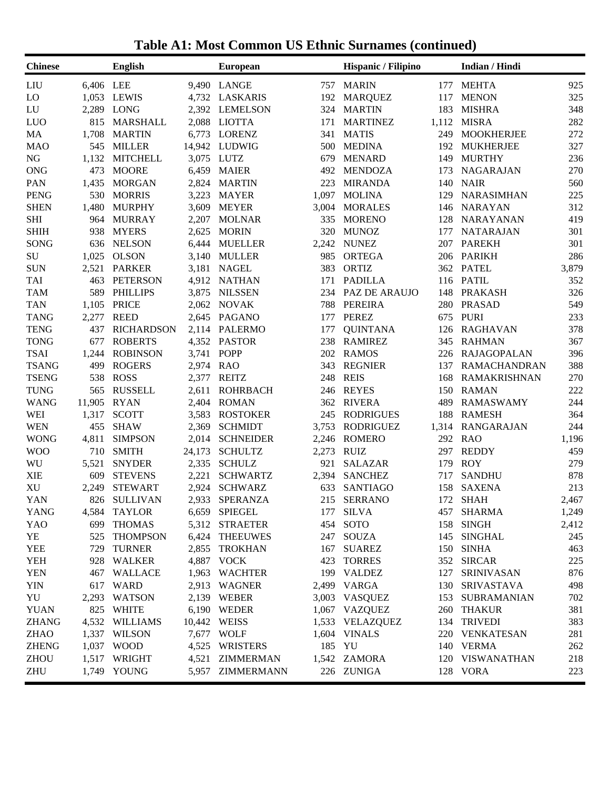| <b>Chinese</b> |           | <b>English</b>    |        | <b>European</b>  |       | Hispanic / Filipino |       | Indian / Hindi      |       |
|----------------|-----------|-------------------|--------|------------------|-------|---------------------|-------|---------------------|-------|
| LIU            | 6,406 LEE |                   |        | 9,490 LANGE      | 757   | <b>MARIN</b>        | 177   | <b>MEHTA</b>        | 925   |
| LO             |           | 1,053 LEWIS       | 4,732  | LASKARIS         | 192   | <b>MARQUEZ</b>      | 117   | <b>MENON</b>        | 325   |
| LU             | 2,289     | LONG              | 2,392  | <b>LEMELSON</b>  | 324   | <b>MARTIN</b>       | 183   | <b>MISHRA</b>       | 348   |
| LUO            | 815       | <b>MARSHALL</b>   | 2,088  | LIOTTA           | 171   | <b>MARTINEZ</b>     | 1,112 | <b>MISRA</b>        | 282   |
| MA             | 1,708     | <b>MARTIN</b>     | 6,773  | <b>LORENZ</b>    | 341   | <b>MATIS</b>        | 249   | <b>MOOKHERJEE</b>   | 272   |
| <b>MAO</b>     | 545       | <b>MILLER</b>     | 14,942 | LUDWIG           | 500   | <b>MEDINA</b>       | 192   | <b>MUKHERJEE</b>    | 327   |
| NG             | 1,132     | <b>MITCHELL</b>   | 3,075  | LUTZ             | 679   | <b>MENARD</b>       | 149   | <b>MURTHY</b>       | 236   |
| <b>ONG</b>     | 473       | <b>MOORE</b>      | 6,459  | <b>MAIER</b>     | 492   | <b>MENDOZA</b>      | 173   | <b>NAGARAJAN</b>    | 270   |
| PAN            | 1,435     | <b>MORGAN</b>     | 2,824  | <b>MARTIN</b>    | 223   | <b>MIRANDA</b>      | 140   | <b>NAIR</b>         | 560   |
| <b>PENG</b>    | 530       | <b>MORRIS</b>     | 3,223  | <b>MAYER</b>     | 1,097 | <b>MOLINA</b>       | 129   | <b>NARASIMHAN</b>   | 225   |
| <b>SHEN</b>    | 1,480     | <b>MURPHY</b>     | 3,609  | <b>MEYER</b>     | 3,004 | <b>MORALES</b>      | 146   | <b>NARAYAN</b>      | 312   |
| <b>SHI</b>     | 964       | <b>MURRAY</b>     | 2,207  | <b>MOLNAR</b>    | 335   | <b>MORENO</b>       | 128   | <b>NARAYANAN</b>    | 419   |
| <b>SHIH</b>    | 938       | <b>MYERS</b>      | 2,625  | <b>MORIN</b>     | 320   | <b>MUNOZ</b>        | 177   | <b>NATARAJAN</b>    | 301   |
| <b>SONG</b>    | 636       | <b>NELSON</b>     | 6,444  | <b>MUELLER</b>   | 2,242 | <b>NUNEZ</b>        | 207   | <b>PAREKH</b>       | 301   |
| SU             | 1,025     | <b>OLSON</b>      | 3,140  | <b>MULLER</b>    | 985   | <b>ORTEGA</b>       | 206   | <b>PARIKH</b>       | 286   |
| <b>SUN</b>     | 2,521     | <b>PARKER</b>     | 3,181  | <b>NAGEL</b>     | 383   | <b>ORTIZ</b>        | 362   | <b>PATEL</b>        | 3,879 |
| <b>TAI</b>     | 463       | <b>PETERSON</b>   | 4,912  | <b>NATHAN</b>    | 171   | <b>PADILLA</b>      | 116   | <b>PATIL</b>        | 352   |
| <b>TAM</b>     | 589       | <b>PHILLIPS</b>   | 3,875  | <b>NILSSEN</b>   | 234   | PAZ DE ARAUJO       | 148   | <b>PRAKASH</b>      | 326   |
| <b>TAN</b>     | 1,105     | <b>PRICE</b>      | 2,062  | <b>NOVAK</b>     | 788   | <b>PEREIRA</b>      | 280   | <b>PRASAD</b>       | 549   |
| <b>TANG</b>    | 2,277     | <b>REED</b>       | 2,645  | PAGANO           | 177   | <b>PEREZ</b>        | 675   | <b>PURI</b>         | 233   |
| <b>TENG</b>    | 437       | <b>RICHARDSON</b> | 2,114  | <b>PALERMO</b>   | 177   | <b>QUINTANA</b>     | 126   | <b>RAGHAVAN</b>     | 378   |
| <b>TONG</b>    | 677       | <b>ROBERTS</b>    | 4,352  | <b>PASTOR</b>    | 238   | <b>RAMIREZ</b>      | 345   | <b>RAHMAN</b>       | 367   |
| <b>TSAI</b>    | 1,244     | <b>ROBINSON</b>   | 3,741  | POPP             | 202   | <b>RAMOS</b>        | 226   | <b>RAJAGOPALAN</b>  | 396   |
| <b>TSANG</b>   | 499       | <b>ROGERS</b>     | 2,974  | <b>RAO</b>       | 343   | <b>REGNIER</b>      | 137   | <b>RAMACHANDRAN</b> | 388   |
| <b>TSENG</b>   | 538       | <b>ROSS</b>       | 2,377  | <b>REITZ</b>     | 248   | <b>REIS</b>         | 168   | <b>RAMAKRISHNAN</b> | 270   |
| <b>TUNG</b>    | 565       | <b>RUSSELL</b>    | 2,611  | <b>ROHRBACH</b>  | 246   | <b>REYES</b>        | 150   | <b>RAMAN</b>        | 222   |
| <b>WANG</b>    | 11,905    | <b>RYAN</b>       | 2,404  | <b>ROMAN</b>     | 362   | <b>RIVERA</b>       | 489   | <b>RAMASWAMY</b>    | 244   |
| WEI            | 1,317     | <b>SCOTT</b>      | 3,583  | <b>ROSTOKER</b>  | 245   | <b>RODRIGUES</b>    | 188   | <b>RAMESH</b>       | 364   |
| <b>WEN</b>     | 455       | <b>SHAW</b>       | 2,369  | <b>SCHMIDT</b>   | 3,753 | <b>RODRIGUEZ</b>    | 1,314 | <b>RANGARAJAN</b>   | 244   |
| <b>WONG</b>    | 4,811     | <b>SIMPSON</b>    | 2,014  | <b>SCHNEIDER</b> | 2,246 | <b>ROMERO</b>       | 292   | <b>RAO</b>          | 1,196 |
| <b>WOO</b>     | 710       | <b>SMITH</b>      | 24,173 | <b>SCHULTZ</b>   | 2,273 | <b>RUIZ</b>         | 297   | <b>REDDY</b>        | 459   |
| WU             | 5,521     | <b>SNYDER</b>     | 2,335  | <b>SCHULZ</b>    | 921   | <b>SALAZAR</b>      | 179   | <b>ROY</b>          | 279   |
| <b>XIE</b>     | 609       | <b>STEVENS</b>    | 2,221  | <b>SCHWARTZ</b>  | 2,394 | <b>SANCHEZ</b>      | 717   | <b>SANDHU</b>       | 878   |
| <b>XU</b>      | 2,249     | <b>STEWART</b>    | 2,924  | <b>SCHWARZ</b>   | 633   | <b>SANTIAGO</b>     | 158   | <b>SAXENA</b>       | 213   |
| YAN            |           | 826 SULLIVAN      | 2,933  | <b>SPERANZA</b>  |       | 215 SERRANO         | 172   | <b>SHAH</b>         | 2,467 |
| <b>YANG</b>    |           | 4,584 TAYLOR      |        | 6,659 SPIEGEL    |       | 177 SILVA           |       | 457 SHARMA          | 1,249 |
| YAO            |           | 699 THOMAS        |        | 5,312 STRAETER   |       | 454 SOTO            |       | 158 SINGH           | 2,412 |
| YE             | 525       | <b>THOMPSON</b>   |        | 6,424 THEEUWES   |       | 247 SOUZA           |       | 145 SINGHAL         | 245   |
| <b>YEE</b>     | 729       | <b>TURNER</b>     |        | 2,855 TROKHAN    |       | 167 SUAREZ          |       | 150 SINHA           | 463   |
| <b>YEH</b>     |           | 928 WALKER        |        | 4,887 VOCK       |       | 423 TORRES          |       | 352 SIRCAR          | 225   |
| <b>YEN</b>     |           | 467 WALLACE       |        | 1,963 WACHTER    |       | 199 VALDEZ          |       | 127 SRINIVASAN      | 876   |
| <b>YIN</b>     |           | 617 WARD          |        | 2,913 WAGNER     |       | 2,499 VARGA         |       | 130 SRIVASTAVA      | 498   |
| YU             |           | 2,293 WATSON      |        | 2,139 WEBER      |       | 3,003 VASQUEZ       |       | 153 SUBRAMANIAN     | 702   |
| <b>YUAN</b>    |           | 825 WHITE         |        | 6,190 WEDER      |       | 1,067 VAZQUEZ       |       | 260 THAKUR          | 381   |
| <b>ZHANG</b>   |           | 4,532 WILLIAMS    |        | 10,442 WEISS     |       | 1,533 VELAZQUEZ     |       | 134 TRIVEDI         | 383   |
| ZHAO           |           | 1,337 WILSON      |        | 7,677 WOLF       |       | 1,604 VINALS        | 220   | VENKATESAN          | 281   |
| <b>ZHENG</b>   |           | 1,037 WOOD        |        | 4,525 WRISTERS   |       | 185 YU              | 140   | <b>VERMA</b>        | 262   |
| <b>ZHOU</b>    |           | 1,517 WRIGHT      |        | 4,521 ZIMMERMAN  |       | 1,542 ZAMORA        | 120   | VISWANATHAN         | 218   |
|                |           |                   |        |                  |       |                     |       |                     |       |
| ZHU            |           | 1,749 YOUNG       |        | 5,957 ZIMMERMANN |       | 226 ZUNIGA          |       | 128 VORA            | 223   |

**Table A1: Most Common US Ethnic Surnames (continued)**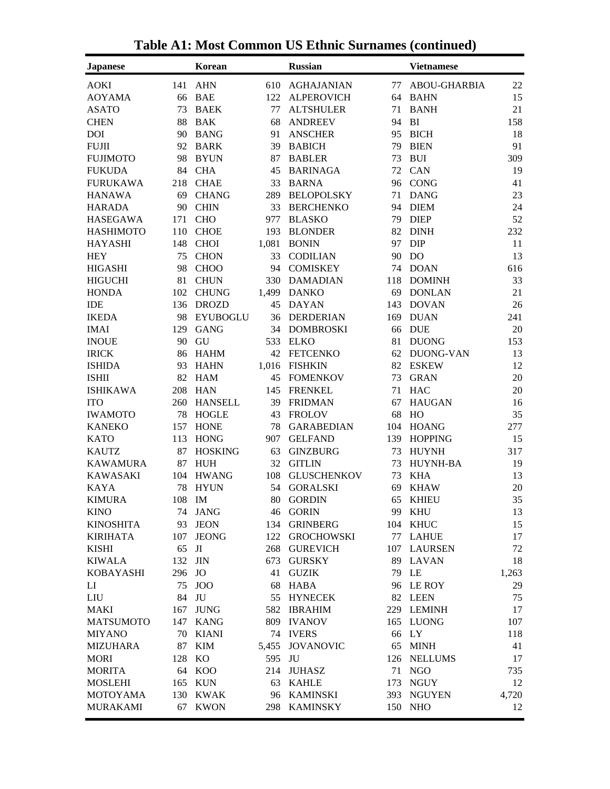| <b>Japanese</b>  |     | <b>Korean</b>   |       | <b>Russian</b>     |     | <b>Vietnamese</b>   |       |
|------------------|-----|-----------------|-------|--------------------|-----|---------------------|-------|
| <b>AOKI</b>      | 141 | <b>AHN</b>      | 610   | <b>AGHAJANIAN</b>  | 77  | <b>ABOU-GHARBIA</b> | 22    |
| <b>AOYAMA</b>    | 66  | <b>BAE</b>      | 122   | <b>ALPEROVICH</b>  | 64  | <b>BAHN</b>         | 15    |
| <b>ASATO</b>     | 73  | <b>BAEK</b>     | 77    | <b>ALTSHULER</b>   | 71  | <b>BANH</b>         | 21    |
| <b>CHEN</b>      | 88  | <b>BAK</b>      | 68    | <b>ANDREEV</b>     | 94  | BI                  | 158   |
| <b>DOI</b>       | 90  | <b>BANG</b>     | 91    | <b>ANSCHER</b>     | 95  | <b>BICH</b>         | 18    |
| <b>FUJII</b>     | 92  | <b>BARK</b>     | 39    | <b>BABICH</b>      | 79  | <b>BIEN</b>         | 91    |
| <b>FUJIMOTO</b>  | 98  | <b>BYUN</b>     | 87    | <b>BABLER</b>      | 73  | <b>BUI</b>          | 309   |
| <b>FUKUDA</b>    | 84  | <b>CHA</b>      | 45    | <b>BARINAGA</b>    | 72  | CAN                 | 19    |
| <b>FURUKAWA</b>  | 218 | <b>CHAE</b>     | 33    | <b>BARNA</b>       | 96  | <b>CONG</b>         | 41    |
| <b>HANAWA</b>    | 69  | <b>CHANG</b>    | 289   | <b>BELOPOLSKY</b>  | 71  | <b>DANG</b>         | 23    |
| <b>HARADA</b>    | 90  | <b>CHIN</b>     | 33    | <b>BERCHENKO</b>   | 94  | <b>DIEM</b>         | 24    |
| <b>HASEGAWA</b>  | 171 | <b>CHO</b>      | 977   | <b>BLASKO</b>      | 79  | <b>DIEP</b>         | 52    |
| <b>HASHIMOTO</b> | 110 | <b>CHOE</b>     | 193   | <b>BLONDER</b>     | 82  | <b>DINH</b>         | 232   |
| <b>HAYASHI</b>   | 148 | <b>CHOI</b>     | 1,081 | <b>BONIN</b>       | 97  | <b>DIP</b>          | 11    |
| <b>HEY</b>       | 75  | <b>CHON</b>     | 33    | <b>CODILIAN</b>    | 90  | D <sub>O</sub>      | 13    |
| <b>HIGASHI</b>   | 98  | <b>CHOO</b>     | 94    | <b>COMISKEY</b>    | 74  | <b>DOAN</b>         | 616   |
| <b>HIGUCHI</b>   | 81  | <b>CHUN</b>     | 330   | DAMADIAN           | 118 | <b>DOMINH</b>       | 33    |
| <b>HONDA</b>     | 102 | <b>CHUNG</b>    | 1,499 | <b>DANKO</b>       | 69  | <b>DONLAN</b>       | 21    |
| IDE              | 136 | <b>DROZD</b>    | 45    | DAYAN              | 143 | <b>DOVAN</b>        | 26    |
| <b>IKEDA</b>     | 98  | <b>EYUBOGLU</b> |       | 36 DERDERIAN       | 169 | <b>DUAN</b>         | 241   |
| <b>IMAI</b>      | 129 | <b>GANG</b>     |       | 34 DOMBROSKI       | 66  | <b>DUE</b>          | 20    |
| <b>INOUE</b>     | 90  | GU              | 533   | <b>ELKO</b>        | 81  | <b>DUONG</b>        | 153   |
| <b>IRICK</b>     | 86  | <b>HAHM</b>     | 42    | FETCENKO           | 62  | DUONG-VAN           | 13    |
| <b>ISHIDA</b>    | 93  | <b>HAHN</b>     | 1,016 | <b>FISHKIN</b>     | 82  | <b>ESKEW</b>        | 12    |
| <b>ISHII</b>     | 82  | <b>HAM</b>      | 45    | FOMENKOV           | 73  | <b>GRAN</b>         | 20    |
| <b>ISHIKAWA</b>  | 208 | <b>HAN</b>      | 145   | <b>FRENKEL</b>     | 71  | HAC                 | 20    |
| <b>ITO</b>       | 260 | <b>HANSELL</b>  | 39    | <b>FRIDMAN</b>     | 67  | <b>HAUGAN</b>       | 16    |
| <b>IWAMOTO</b>   | 78  | <b>HOGLE</b>    | 43    | <b>FROLOV</b>      | 68  | HO                  | 35    |
| <b>KANEKO</b>    | 157 | <b>HONE</b>     | 78    | <b>GARABEDIAN</b>  | 104 | <b>HOANG</b>        | 277   |
| <b>KATO</b>      | 113 | <b>HONG</b>     | 907   | <b>GELFAND</b>     | 139 | <b>HOPPING</b>      | 15    |
| <b>KAUTZ</b>     | 87  | <b>HOSKING</b>  | 63    | <b>GINZBURG</b>    | 73  | <b>HUYNH</b>        | 317   |
| <b>KAWAMURA</b>  | 87  | <b>HUH</b>      | 32    | <b>GITLIN</b>      | 73  | HUYNH-BA            | 19    |
| <b>KAWASAKI</b>  | 104 | <b>HWANG</b>    | 108   | <b>GLUSCHENKOV</b> | 73  | <b>KHA</b>          | 13    |
| <b>KAYA</b>      | 78  | <b>HYUN</b>     | 54    | <b>GORALSKI</b>    | 69  | <b>KHAW</b>         | 20    |
| <b>KIMURA</b>    | 108 | IM              | 80    | <b>GORDIN</b>      | 65  | <b>KHIEU</b>        | 35    |
| <b>KINO</b>      |     | 74 JANG         |       | 46 GORIN           |     | 99 KHU              | 13    |
| <b>KINOSHITA</b> | 93  | <b>JEON</b>     | 134   | <b>GRINBERG</b>    | 104 | <b>KHUC</b>         | 15    |
| <b>KIRIHATA</b>  | 107 | <b>JEONG</b>    | 122   | <b>GROCHOWSKI</b>  | 77  | <b>LAHUE</b>        | 17    |
| <b>KISHI</b>     | 65  | JI              |       | 268 GUREVICH       | 107 | <b>LAURSEN</b>      | 72    |
| <b>KIWALA</b>    | 132 | <b>JIN</b>      | 673   | <b>GURSKY</b>      | 89  | LAVAN               | 18    |
| <b>KOBAYASHI</b> | 296 | JO              | 41    | <b>GUZIK</b>       | 79  | LE                  | 1,263 |
| $_{\rm LI}$      | 75  | <b>JOO</b>      | 68    | HABA               | 96  | LE ROY              | 29    |
| LIU              | 84  | JU              | 55    | <b>HYNECEK</b>     |     | 82 LEEN             | 75    |
| MAKI             | 167 | <b>JUNG</b>     | 582   | <b>IBRAHIM</b>     |     | 229 LEMINH          | 17    |
| <b>MATSUMOTO</b> | 147 | KANG            |       | 809 IVANOV         | 165 | LUONG               | 107   |
| <b>MIYANO</b>    | 70  | KIANI           |       | 74 IVERS           | 66  | LY                  | 118   |
| <b>MIZUHARA</b>  | 87  | <b>KIM</b>      | 5,455 | <b>JOVANOVIC</b>   | 65  | <b>MINH</b>         | 41    |
| <b>MORI</b>      | 128 | KO              | 595   | JU                 | 126 | <b>NELLUMS</b>      | 17    |
| <b>MORITA</b>    | 64  | KOO             |       | 214 JUHASZ         | 71  | <b>NGO</b>          | 735   |
| <b>MOSLEHI</b>   | 165 | KUN             | 63    | <b>KAHLE</b>       | 173 | NGUY                | 12    |
| <b>MOTOYAMA</b>  | 130 | KWAK            | 96    | KAMINSKI           |     | 393 NGUYEN          | 4,720 |
| <b>MURAKAMI</b>  | 67  | <b>KWON</b>     | 298   | <b>KAMINSKY</b>    | 150 | <b>NHO</b>          | 12    |
|                  |     |                 |       |                    |     |                     |       |

**Table A1: Most Common US Ethnic Surnames (continued)**